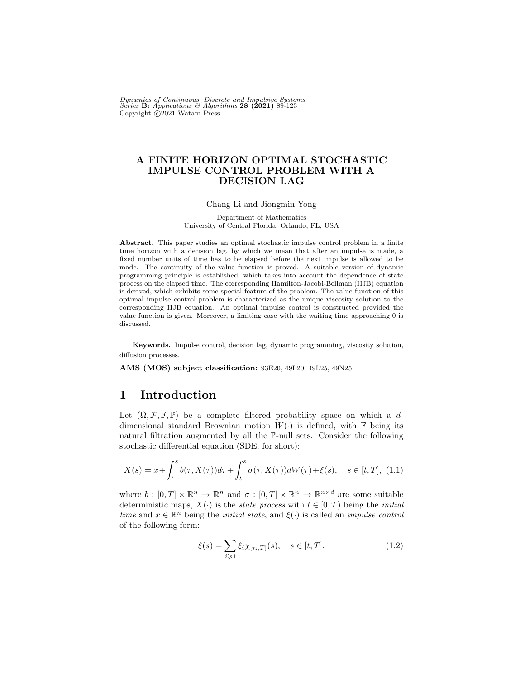Dynamics of Continuous, Discrete and Impulsive Systems<br>Series **B:** Applications & Algorithms **28 (2021)** 89-123 Copyright  $\odot$ 2021 Watam Press

#### A FINITE HORIZON OPTIMAL STOCHASTIC IMPULSE CONTROL PROBLEM WITH A DECISION LAG

#### Chang Li and Jiongmin Yong

Department of Mathematics University of Central Florida, Orlando, FL, USA

Abstract. This paper studies an optimal stochastic impulse control problem in a finite time horizon with a decision lag, by which we mean that after an impulse is made, a fixed number units of time has to be elapsed before the next impulse is allowed to be made. The continuity of the value function is proved. A suitable version of dynamic programming principle is established, which takes into account the dependence of state process on the elapsed time. The corresponding Hamilton-Jacobi-Bellman (HJB) equation is derived, which exhibits some special feature of the problem. The value function of this optimal impulse control problem is characterized as the unique viscosity solution to the corresponding HJB equation. An optimal impulse control is constructed provided the value function is given. Moreover, a limiting case with the waiting time approaching 0 is discussed.

Keywords. Impulse control, decision lag, dynamic programming, viscosity solution, diffusion processes.

AMS (MOS) subject classification: 93E20, 49L20, 49L25, 49N25.

## 1 Introduction

Let  $(\Omega, \mathcal{F}, \mathbb{F}, \mathbb{P})$  be a complete filtered probability space on which a ddimensional standard Brownian motion  $W(.)$  is defined, with F being its natural filtration augmented by all the P-null sets. Consider the following stochastic differential equation (SDE, for short):

<span id="page-0-1"></span>
$$
X(s) = x + \int_{t}^{s} b(\tau, X(\tau))d\tau + \int_{t}^{s} \sigma(\tau, X(\tau))dW(\tau) + \xi(s), \quad s \in [t, T], \tag{1.1}
$$

where  $b : [0, T] \times \mathbb{R}^n \to \mathbb{R}^n$  and  $\sigma : [0, T] \times \mathbb{R}^n \to \mathbb{R}^{n \times d}$  are some suitable deterministic maps,  $X(\cdot)$  is the *state process* with  $t \in [0, T)$  being the *initial* time and  $x \in \mathbb{R}^n$  being the *initial state*, and  $\xi(\cdot)$  is called an *impulse control* of the following form:

<span id="page-0-0"></span>
$$
\xi(s) = \sum_{i \geqslant 1} \xi_i \chi_{[\tau_i, T]}(s), \quad s \in [t, T]. \tag{1.2}
$$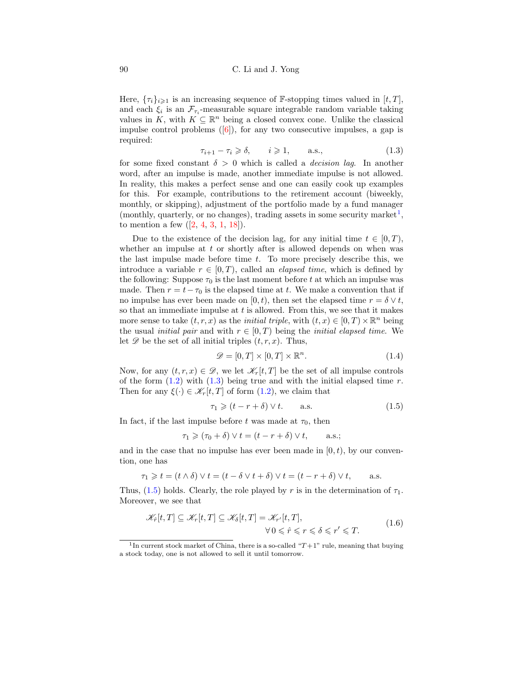Here,  $\{\tau_i\}_{i\geqslant 1}$  is an increasing sequence of F-stopping times valued in  $[t, T]$ , and each  $\xi_i$  is an  $\mathcal{F}_{\tau_i}$ -measurable square integrable random variable taking values in K, with  $K \subseteq \mathbb{R}^n$  being a closed convex cone. Unlike the classical impulse control problems  $([6])$  $([6])$  $([6])$ , for any two consecutive impulses, a gap is required:

<span id="page-1-1"></span>
$$
\tau_{i+1} - \tau_i \geq \delta, \qquad i \geq 1, \qquad \text{a.s.,} \tag{1.3}
$$

for some fixed constant  $\delta > 0$  which is called a *decision lag*. In another word, after an impulse is made, another immediate impulse is not allowed. In reality, this makes a perfect sense and one can easily cook up examples for this. For example, contributions to the retirement account (biweekly, monthly, or skipping), adjustment of the portfolio made by a fund manager (monthly, quarterly, or no changes), trading assets in some security market<sup>[1](#page-1-0)</sup>, to mention a few  $([2, 4, 3, 1, 18])$  $([2, 4, 3, 1, 18])$  $([2, 4, 3, 1, 18])$  $([2, 4, 3, 1, 18])$  $([2, 4, 3, 1, 18])$  $([2, 4, 3, 1, 18])$  $([2, 4, 3, 1, 18])$  $([2, 4, 3, 1, 18])$  $([2, 4, 3, 1, 18])$  $([2, 4, 3, 1, 18])$  $([2, 4, 3, 1, 18])$ .

Due to the existence of the decision lag, for any initial time  $t \in [0, T)$ , whether an impulse at  $t$  or shortly after is allowed depends on when was the last impulse made before time  $t$ . To more precisely describe this, we introduce a variable  $r \in [0, T)$ , called an *elapsed time*, which is defined by the following: Suppose  $\tau_0$  is the last moment before t at which an impulse was made. Then  $r = t - \tau_0$  is the elapsed time at t. We make a convention that if no impulse has ever been made on [0, t), then set the elapsed time  $r = \delta \vee t$ , so that an immediate impulse at  $t$  is allowed. From this, we see that it makes more sense to take  $(t, r, x)$  as the *initial triple*, with  $(t, x) \in [0, T) \times \mathbb{R}^n$  being the usual *initial pair* and with  $r \in [0, T)$  being the *initial elapsed time*. We let  $\mathscr D$  be the set of all initial triples  $(t, r, x)$ . Thus,

$$
\mathcal{D} = [0, T] \times [0, T] \times \mathbb{R}^n.
$$
\n(1.4)

Now, for any  $(t, r, x) \in \mathcal{D}$ , we let  $\mathcal{K}_r[t, T]$  be the set of all impulse controls of the form  $(1.2)$  with  $(1.3)$  being true and with the initial elapsed time r. Then for any  $\xi(\cdot) \in \mathcal{K}_r[t,T]$  of form  $(1.2)$ , we claim that

<span id="page-1-2"></span>
$$
\tau_1 \geqslant (t - r + \delta) \vee t. \qquad \text{a.s.} \tag{1.5}
$$

In fact, if the last impulse before t was made at  $\tau_0$ , then

$$
\tau_1 \geqslant (\tau_0 + \delta) \vee t = (t - r + \delta) \vee t, \quad \text{a.s.};
$$

and in the case that no impulse has ever been made in  $[0, t)$ , by our convention, one has

$$
\tau_1 \geqslant t = (t \wedge \delta) \vee t = (t - \delta \vee t + \delta) \vee t = (t - r + \delta) \vee t, \quad \text{a.s.}
$$

Thus, [\(1.5\)](#page-1-2) holds. Clearly, the role played by r is in the determination of  $\tau_1$ . Moreover, we see that

<span id="page-1-3"></span>
$$
\mathscr{K}_{\hat{r}}[t,T] \subseteq \mathscr{K}_{r}[t,T] \subseteq \mathscr{K}_{\delta}[t,T] = \mathscr{K}_{r'}[t,T],
$$
\n
$$
\forall 0 \leq \hat{r} \leq r \leq \delta \leq r' \leq T.
$$
\n(1.6)

<span id="page-1-0"></span><sup>&</sup>lt;sup>1</sup>In current stock market of China, there is a so-called " $T+1$ " rule, meaning that buying a stock today, one is not allowed to sell it until tomorrow.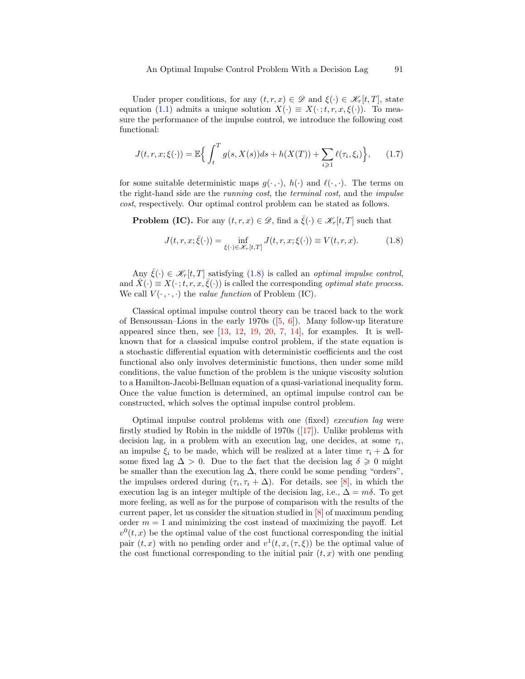Under proper conditions, for any  $(t, r, x) \in \mathscr{D}$  and  $\xi(\cdot) \in \mathscr{K}_r[t, T]$ , state equation [\(1.1\)](#page-0-1) admits a unique solution  $X(\cdot) \equiv X(\cdot; t, r, x, \xi(\cdot))$ . To measure the performance of the impulse control, we introduce the following cost functional:

<span id="page-2-1"></span>
$$
J(t, r, x; \xi(\cdot)) = \mathbb{E}\Big\{\int_t^T g(s, X(s))ds + h(X(T)) + \sum_{i \geq 1} \ell(\tau_i, \xi_i)\Big\},\qquad(1.7)
$$

for some suitable deterministic maps  $g(\cdot, \cdot)$ ,  $h(\cdot)$  and  $\ell(\cdot, \cdot)$ . The terms on the right-hand side are the running cost, the terminal cost, and the impulse cost, respectively. Our optimal control problem can be stated as follows.

**Problem (IC).** For any  $(t, r, x) \in \mathcal{D}$ , find a  $\xi(\cdot) \in \mathcal{K}_r[t, T]$  such that

<span id="page-2-0"></span>
$$
J(t,r,x;\bar{\xi}(\cdot)) = \inf_{\xi(\cdot)\in\mathscr{K}_r[t,T]} J(t,r,x;\xi(\cdot)) \equiv V(t,r,x). \tag{1.8}
$$

Any  $\bar{\xi}(\cdot) \in \mathscr{K}_r[t,T]$  satisfying [\(1.8\)](#page-2-0) is called an *optimal impulse control*. and  $\bar{X}(\cdot) \equiv X(\cdot; t, r, x, \bar{\xi}(\cdot))$  is called the corresponding *optimal state process.* We call  $V(\cdot, \cdot, \cdot)$  the value function of Problem (IC).

Classical optimal impulse control theory can be traced back to the work of Bensoussan–Lions in the early 1970s  $([5, 6])$  $([5, 6])$  $([5, 6])$  $([5, 6])$  $([5, 6])$ . Many follow-up literature appeared since then, see  $[13, 12, 19, 20, 7, 14]$  $[13, 12, 19, 20, 7, 14]$  $[13, 12, 19, 20, 7, 14]$  $[13, 12, 19, 20, 7, 14]$  $[13, 12, 19, 20, 7, 14]$  $[13, 12, 19, 20, 7, 14]$  $[13, 12, 19, 20, 7, 14]$  $[13, 12, 19, 20, 7, 14]$  $[13, 12, 19, 20, 7, 14]$  $[13, 12, 19, 20, 7, 14]$  $[13, 12, 19, 20, 7, 14]$ , for examples. It is wellknown that for a classical impulse control problem, if the state equation is a stochastic differential equation with deterministic coefficients and the cost functional also only involves deterministic functions, then under some mild conditions, the value function of the problem is the unique viscosity solution to a Hamilton-Jacobi-Bellman equation of a quasi-variational inequality form. Once the value function is determined, an optimal impulse control can be constructed, which solves the optimal impulse control problem.

Optimal impulse control problems with one (fixed) execution lag were firstly studied by Robin in the middle of 1970s  $(17)$ . Unlike problems with decision lag, in a problem with an execution lag, one decides, at some  $\tau_i$ , an impulse  $\xi_i$  to be made, which will be realized at a later time  $\tau_i + \Delta$  for some fixed lag  $\Delta > 0$ . Due to the fact that the decision lag  $\delta \geq 0$  might be smaller than the execution lag  $\Delta$ , there could be some pending "orders", the impulses ordered during  $(\tau_i, \tau_i + \Delta)$ . For details, see [\[8\]](#page-33-10), in which the execution lag is an integer multiple of the decision lag, i.e.,  $\Delta = m\delta$ . To get more feeling, as well as for the purpose of comparison with the results of the current paper, let us consider the situation studied in [\[8\]](#page-33-10) of maximum pending order  $m = 1$  and minimizing the cost instead of maximizing the payoff. Let  $v^0(t, x)$  be the optimal value of the cost functional corresponding the initial pair  $(t, x)$  with no pending order and  $v^1(t, x, (\tau, \xi))$  be the optimal value of the cost functional corresponding to the initial pair  $(t, x)$  with one pending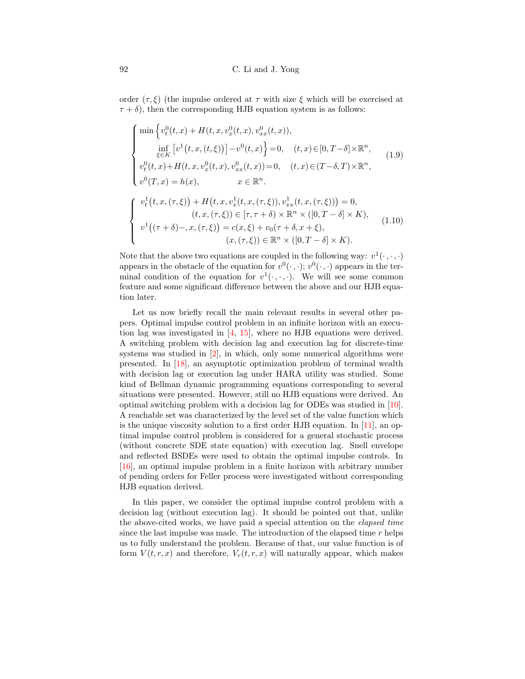order  $(\tau, \xi)$  (the impulse ordered at  $\tau$  with size  $\xi$  which will be exercised at  $\tau + \delta$ , then the corresponding HJB equation system is as follows:

<span id="page-3-0"></span>
$$
\begin{cases}\n\min \left\{ v_t^0(t,x) + H(t,x,v_x^0(t,x),v_{xx}^0(t,x)),\right. \\
\inf_{\xi \in K} \left[ v^1(t,x,(t,\xi)) \right] - v^0(t,x) \right\} = 0, \quad (t,x) \in [0,T-\delta] \times \mathbb{R}^n, \\
v_t^0(t,x) + H(t,x,v_x^0(t,x),v_{xx}^0(t,x)) = 0, \quad (t,x) \in (T-\delta,T) \times \mathbb{R}^n, \\
v^0(T,x) = h(x), \qquad x \in \mathbb{R}^n.\n\end{cases}
$$
\n
$$
\begin{cases}\n v_t^1(t,x,(\tau,\xi)) + H(t,x,v_x^1(t,x,(\tau,\xi)),v_{xx}^1(t,x,(\tau,\xi))) = 0, \\
 (t,x,(\tau,\xi)) \in [\tau,\tau+\delta) \times \mathbb{R}^n \times ([0,T-\delta] \times K), \\
 v^1((\tau+\delta)-,x,(\tau,\xi)) = c(x,\xi) + v_0(\tau+\delta,x+\xi), \\
 (x,(\tau,\xi)) \in \mathbb{R}^n \times ([0,T-\delta] \times K). \n\end{cases}
$$
\n(1.10)

<span id="page-3-1"></span>Note that the above two equations are coupled in the following way:  $v^1(\cdot, \cdot, \cdot)$ appears in the obstacle of the equation for  $v^0(\cdot, \cdot)$ ;  $v^0(\cdot, \cdot)$  appears in the terminal condition of the equation for  $v^1(\cdot, \cdot, \cdot)$ . We will see some common feature and some significant difference between the above and our HJB equation later.

Let us now briefly recall the main relevant results in several other papers. Optimal impulse control problem in an infinite horizon with an execution lag was investigated in [\[4,](#page-33-2) [15\]](#page-33-11), where no HJB equations were derived. A switching problem with decision lag and execution lag for discrete-time systems was studied in [\[2\]](#page-33-1), in which, only some numerical algorithms were presented. In [\[18\]](#page-34-0), an asymptotic optimization problem of terminal wealth with decision lag or execution lag under HARA utility was studied. Some kind of Bellman dynamic programming equations corresponding to several situations were presented. However, still no HJB equations were derived. An optimal switching problem with a decision lag for ODEs was studied in [\[10\]](#page-33-12). A reachable set was characterized by the level set of the value function which is the unique viscosity solution to a first order HJB equation. In [\[11\]](#page-33-13), an optimal impulse control problem is considered for a general stochastic process (without concrete SDE state equation) with execution lag. Snell envelope and reflected BSDEs were used to obtain the optimal impulse controls. In [\[16\]](#page-33-14), an optimal impulse problem in a finite horizon with arbitrary number of pending orders for Feller process were investigated without corresponding HJB equation derived.

In this paper, we consider the optimal impulse control problem with a decision lag (without execution lag). It should be pointed out that, unlike the above-cited works, we have paid a special attention on the elapsed time since the last impulse was made. The introduction of the elapsed time  $r$  helps us to fully understand the problem. Because of that, our value function is of form  $V(t, r, x)$  and therefore,  $V_r(t, r, x)$  will naturally appear, which makes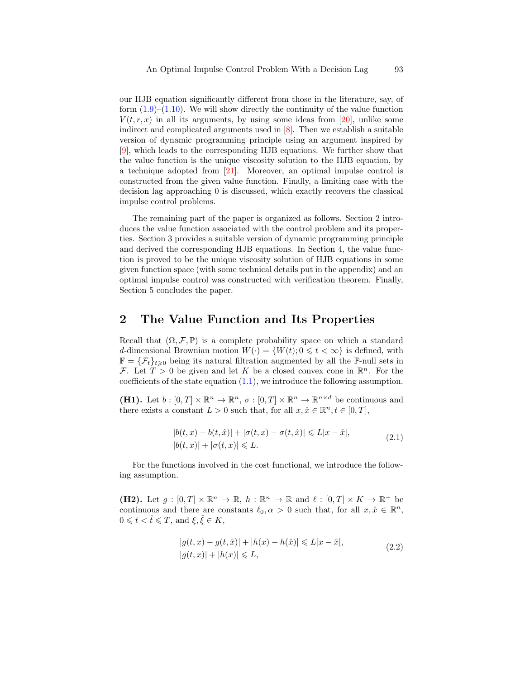our HJB equation significantly different from those in the literature, say, of form  $(1.9)$ – $(1.10)$ . We will show directly the continuity of the value function  $V(t, r, x)$  in all its arguments, by using some ideas from [\[20\]](#page-34-2), unlike some indirect and complicated arguments used in [\[8\]](#page-33-10). Then we establish a suitable version of dynamic programming principle using an argument inspired by [\[9\]](#page-33-15), which leads to the corresponding HJB equations. We further show that the value function is the unique viscosity solution to the HJB equation, by a technique adopted from [\[21\]](#page-34-4). Moreover, an optimal impulse control is constructed from the given value function. Finally, a limiting case with the decision lag approaching 0 is discussed, which exactly recovers the classical impulse control problems.

The remaining part of the paper is organized as follows. Section 2 introduces the value function associated with the control problem and its properties. Section 3 provides a suitable version of dynamic programming principle and derived the corresponding HJB equations. In Section 4, the value function is proved to be the unique viscosity solution of HJB equations in some given function space (with some technical details put in the appendix) and an optimal impulse control was constructed with verification theorem. Finally, Section 5 concludes the paper.

### 2 The Value Function and Its Properties

Recall that  $(\Omega, \mathcal{F}, \mathbb{P})$  is a complete probability space on which a standard d-dimensional Brownian motion  $W(\cdot) = \{W(t); 0 \leq t < \infty\}$  is defined, with  $\mathbb{F} = {\{\mathcal{F}_t\}}_{t\geqslant0}$  being its natural filtration augmented by all the P-null sets in F. Let  $T > 0$  be given and let K be a closed convex cone in  $\mathbb{R}^n$ . For the coefficients of the state equation  $(1.1)$ , we introduce the following assumption.

<span id="page-4-0"></span>(H1). Let  $b: [0,T] \times \mathbb{R}^n \to \mathbb{R}^n$ ,  $\sigma: [0,T] \times \mathbb{R}^n \to \mathbb{R}^{n \times d}$  be continuous and there exists a constant  $L > 0$  such that, for all  $x, \hat{x} \in \mathbb{R}^n, t \in [0, T]$ ,

$$
|b(t,x) - b(t,\hat{x})| + |\sigma(t,x) - \sigma(t,\hat{x})| \le L|x - \hat{x}|,
$$
  

$$
|b(t,x)| + |\sigma(t,x)| \le L.
$$
 (2.1)

For the functions involved in the cost functional, we introduce the following assumption.

<span id="page-4-1"></span>(H2). Let  $g : [0, T] \times \mathbb{R}^n \to \mathbb{R}$ ,  $h : \mathbb{R}^n \to \mathbb{R}$  and  $\ell : [0, T] \times K \to \mathbb{R}^+$  be continuous and there are constants  $\ell_0, \alpha > 0$  such that, for all  $x, \hat{x} \in \mathbb{R}^n$ ,  $0 \leqslant t < \hat{t} \leqslant T$ , and  $\xi, \hat{\xi} \in K$ ,

$$
|g(t,x) - g(t,\hat{x})| + |h(x) - h(\hat{x})| \le L|x - \hat{x}|,
$$
  

$$
|g(t,x)| + |h(x)| \le L,
$$
 (2.2)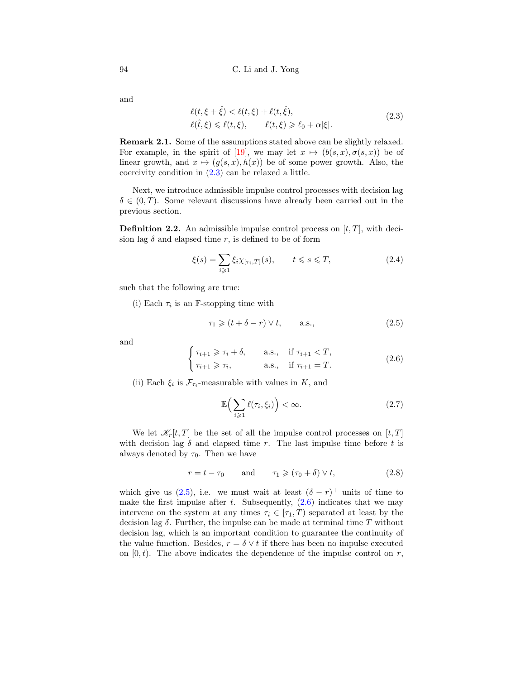and

<span id="page-5-0"></span>
$$
\ell(t,\xi+\hat{\xi}) < \ell(t,\xi) + \ell(t,\hat{\xi}),
$$
\n
$$
\ell(\hat{t},\xi) \leq \ell(t,\xi), \qquad \ell(t,\xi) \geq \ell_0 + \alpha|\xi|.
$$
\n
$$
(2.3)
$$

Remark 2.1. Some of the assumptions stated above can be slightly relaxed. For example, in the spirit of [\[19\]](#page-34-1), we may let  $x \mapsto (b(s, x), \sigma(s, x))$  be of linear growth, and  $x \mapsto (g(s, x), h(x))$  be of some power growth. Also, the coercivity condition in [\(2.3\)](#page-5-0) can be relaxed a little.

Next, we introduce admissible impulse control processes with decision lag  $\delta \in (0, T)$ . Some relevant discussions have already been carried out in the previous section.

**Definition 2.2.** An admissible impulse control process on  $[t, T]$ , with decision lag  $\delta$  and elapsed time r, is defined to be of form

$$
\xi(s) = \sum_{i \geqslant 1} \xi_i \chi_{[\tau_i, T]}(s), \qquad t \leqslant s \leqslant T,
$$
\n(2.4)

such that the following are true:

(i) Each  $\tau_i$  is an F-stopping time with

<span id="page-5-1"></span>
$$
\tau_1 \geqslant (t + \delta - r) \vee t, \qquad \text{a.s.,} \tag{2.5}
$$

and

<span id="page-5-2"></span>
$$
\begin{cases}\n\tau_{i+1} \geqslant \tau_i + \delta, & \text{a.s., if } \tau_{i+1} < T, \\
\tau_{i+1} \geqslant \tau_i, & \text{a.s., if } \tau_{i+1} = T.\n\end{cases}
$$
\n(2.6)

(ii) Each  $\xi_i$  is  $\mathcal{F}_{\tau_i}$ -measurable with values in K, and

$$
\mathbb{E}\Big(\sum_{i\geqslant 1}\ell(\tau_i,\xi_i)\Big)<\infty.\tag{2.7}
$$

We let  $\mathcal{K}_r[t,T]$  be the set of all the impulse control processes on  $[t,T]$ with decision lag  $\delta$  and elapsed time r. The last impulse time before t is always denoted by  $\tau_0$ . Then we have

$$
r = t - \tau_0 \quad \text{and} \quad \tau_1 \geqslant (\tau_0 + \delta) \vee t,\tag{2.8}
$$

which give us [\(2.5\)](#page-5-1), i.e. we must wait at least  $(\delta - r)^+$  units of time to make the first impulse after t. Subsequently,  $(2.6)$  indicates that we may intervene on the system at any times  $\tau_i \in [\tau_1, T)$  separated at least by the decision lag  $\delta$ . Further, the impulse can be made at terminal time T without decision lag, which is an important condition to guarantee the continuity of the value function. Besides,  $r = \delta \vee t$  if there has been no impulse executed on  $[0, t)$ . The above indicates the dependence of the impulse control on r,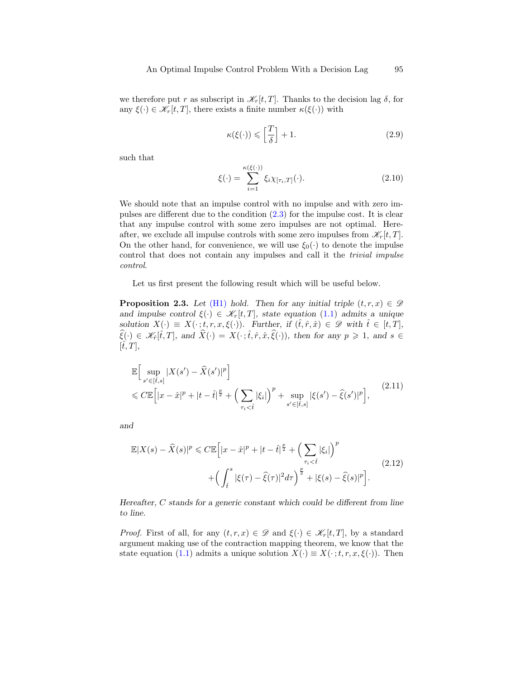we therefore put r as subscript in  $\mathcal{K}_r[t,T]$ . Thanks to the decision lag  $\delta$ , for any  $\xi(\cdot) \in \mathscr{K}_r[t,T]$ , there exists a finite number  $\kappa(\xi(\cdot))$  with

<span id="page-6-2"></span>
$$
\kappa(\xi(\cdot)) \leqslant \left[\frac{T}{\delta}\right] + 1. \tag{2.9}
$$

such that

<span id="page-6-1"></span>
$$
\xi(\cdot) = \sum_{i=1}^{\kappa(\xi(\cdot))} \xi_i \chi_{[\tau_i, T]}(\cdot). \tag{2.10}
$$

We should note that an impulse control with no impulse and with zero impulses are different due to the condition [\(2.3\)](#page-5-0) for the impulse cost. It is clear that any impulse control with some zero impulses are not optimal. Hereafter, we exclude all impulse controls with some zero impulses from  $\mathscr{K}_r[t,T]$ . On the other hand, for convenience, we will use  $\xi_0(\cdot)$  to denote the impulse control that does not contain any impulses and call it the *trivial impulse* control.

Let us first present the following result which will be useful below.

**Proposition 2.3.** Let [\(H1\)](#page-4-0) hold. Then for any initial triple  $(t, r, x) \in \mathcal{D}$ and impulse control  $\xi(\cdot) \in \mathcal{K}_r[t,T]$ , state equation [\(1.1\)](#page-0-1) admits a unique solution  $X(\cdot) \equiv X(\cdot; t, r, x, \xi(\cdot))$ . Further, if  $(\hat{t}, \hat{r}, \hat{x}) \in \mathscr{D}$  with  $\hat{t} \in [t, T]$ ,  $\widehat{\xi}(\cdot) \in \mathscr{K}_{\widehat{r}}[\widehat{t},T],$  and  $\widehat{X}(\cdot) = X(\cdot \,;\widehat{t},\widehat{r},\widehat{x},\widehat{\xi}(\cdot)),$  then for any  $p \geq 1$ , and  $s \in$  $[\hat{t}, T],$ 

<span id="page-6-0"></span>
$$
\mathbb{E}\Big[\sup_{s' \in [\hat{t},s]} |X(s') - \widehat{X}(s')|^p\Big] \leq C \mathbb{E}\Big[|x - \hat{x}|^p + |t - \hat{t}|^{\frac{p}{2}} + \Big(\sum_{\tau_i < \hat{t}} |\xi_i|\Big)^p + \sup_{s' \in [\hat{t},s]} |\xi(s') - \widehat{\xi}(s')|^p\Big],\tag{2.11}
$$

and

$$
\mathbb{E}|X(s) - \widehat{X}(s)|^p \leq C \mathbb{E}\Big[|x - \widehat{x}|^p + |t - \widehat{t}|^{\frac{p}{2}} + \Big(\sum_{\tau_i < \widehat{t}} |\xi_i|\Big)^p \Big] + \Big(\int_{\widehat{t}}^s |\xi(\tau) - \widehat{\xi}(\tau)|^2 d\tau\Big)^{\frac{p}{2}} + |\xi(s) - \widehat{\xi}(s)|^p\Big].\tag{2.12}
$$

Hereafter, C stands for a generic constant which could be different from line to line.

*Proof.* First of all, for any  $(t, r, x) \in \mathcal{D}$  and  $\xi(\cdot) \in \mathcal{K}_r[t, T]$ , by a standard argument making use of the contraction mapping theorem, we know that the state equation [\(1.1\)](#page-0-1) admits a unique solution  $X(\cdot) \equiv X(\cdot; t, r, x, \xi(\cdot))$ . Then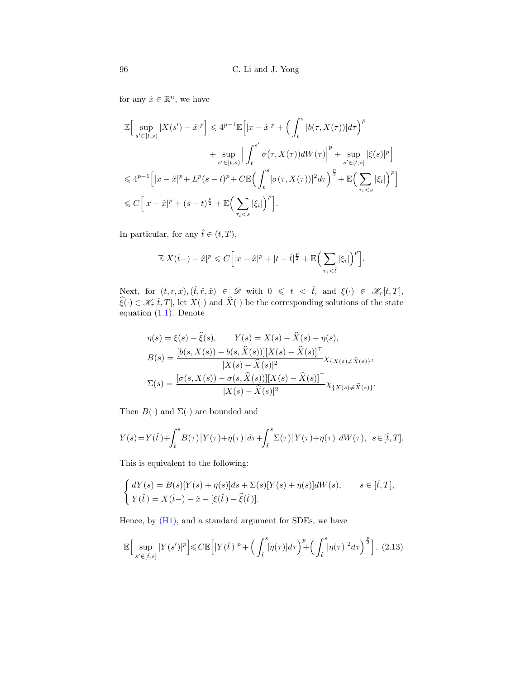for any  $\hat{x} \in \mathbb{R}^n$ , we have

$$
\begin{split} \mathbb{E} \Big[ \sup_{s' \in [t,s)} |X(s') - \hat{x}|^p \Big] &\leqslant 4^{p-1} \mathbb{E} \Big[ |x - \hat{x}|^p + \Big( \int_t^s |b(\tau,X(\tau))| d\tau \Big)^p \\ &\quad + \sup_{s' \in [t,s)} \Big| \int_t^{s'} \sigma(\tau,X(\tau)) dW(\tau) \Big|^p + \sup_{s' \in [t,s]} |\xi(s)|^p \Big] \\ &\leqslant 4^{p-1} \Big[ |x - \hat{x}|^p + L^p (s-t)^p + C \mathbb{E} \Big( \int_t^s |\sigma(\tau,X(\tau))|^2 d\tau \Big)^{\frac{p}{2}} + \mathbb{E} \Big( \sum_{\tau_i < s} |\xi_i| \Big)^p \Big] \\ &\leqslant C \Big[ |x - \hat{x}|^p + (s-t)^{\frac{p}{2}} + \mathbb{E} \Big( \sum_{\tau_i < s} |\xi_i| \Big)^p \Big]. \end{split}
$$

In particular, for any  $\hat{t} \in (t, T)$ ,

$$
\mathbb{E}|X(\hat{t}-)-\hat{x}|^p \leqslant C\Big[|x-\hat{x}|^p+|t-\hat{t}|^{\frac{p}{2}}+\mathbb{E}\Big(\sum_{\tau_i<\hat{t}}|\xi_i|\Big)^p\Big].
$$

Next, for  $(t, r, x)$ ,  $(\hat{t}, \hat{r}, \hat{x}) \in \mathscr{D}$  with  $0 \leq t \leq \hat{t}$ , and  $\xi(\cdot) \in \mathscr{K}_r[t, T]$ ,  $\widehat{\xi}(\cdot) \in \mathcal{K}_{\widehat{r}}[\widehat{t}, T]$ , let  $X(\cdot)$  and  $\widehat{X}(\cdot)$  be the corresponding solutions of the state equation [\(1.1\)](#page-0-1). Denote

$$
\eta(s) = \xi(s) - \hat{\xi}(s), \qquad Y(s) = X(s) - \hat{X}(s) - \eta(s),
$$
  
\n
$$
B(s) = \frac{[b(s, X(s)) - b(s, \hat{X}(s))][X(s) - \hat{X}(s)]^{\top}}{|X(s) - \hat{X}(s)|^2} \chi_{\{X(s) \neq \hat{X}(s)\}},
$$
  
\n
$$
\Sigma(s) = \frac{[\sigma(s, X(s)) - \sigma(s, \hat{X}(s))][X(s) - \hat{X}(s)]^{\top}}{|X(s) - \hat{X}(s)|^2} \chi_{\{X(s) \neq \hat{X}(s)\}}.
$$

Then  $B(\cdot)$  and  $\Sigma(\cdot)$  are bounded and

$$
Y(s) = Y(\hat{t}) + \int_{\hat{t}}^{s} B(\tau) \left[ Y(\tau) + \eta(\tau) \right] d\tau + \int_{\hat{t}}^{s} \Sigma(\tau) \left[ Y(\tau) + \eta(\tau) \right] dW(\tau), \ \ s \in [\hat{t}, T].
$$

This is equivalent to the following:

$$
\begin{cases}\ndY(s) = B(s)[Y(s) + \eta(s)]ds + \Sigma(s)[Y(s) + \eta(s)]dW(s), & s \in [\hat{t}, T], \\
Y(\hat{t}) = X(\hat{t}) - \hat{x} - [\xi(\hat{t}) - \hat{\xi}(\hat{t})].\n\end{cases}
$$

Hence, by [\(H1\),](#page-4-0) and a standard argument for SDEs, we have

<span id="page-7-0"></span>
$$
\mathbb{E}\Big[\sup_{s'\in[\hat{t},s]}|Y(s')|^p\Big]\leqslant C\mathbb{E}\Big[|Y(\hat{t})|^p+\Big(\int_{\hat{t}}^s\!\!\left|\eta(\tau)\right|d\tau\Big)^p\!\!+\!\Big(\int_{\hat{t}}^s\!\!\left|\eta(\tau)\right|^2d\tau\Big)^p\Big].\tag{2.13}
$$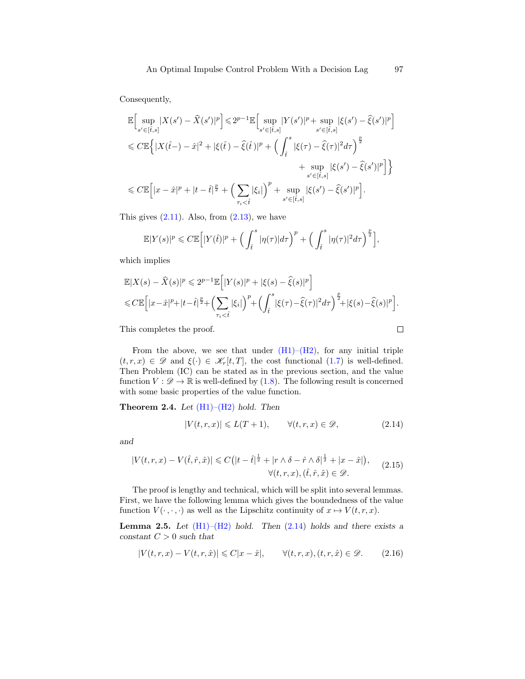Consequently,

$$
\begin{split} &\mathbb{E}\Big[\sup_{s'\in[\hat{t},s]}|X(s')-\widehat{X}(s')|^p\Big]\leqslant 2^{p-1}\mathbb{E}\Big[\sup_{s'\in[\hat{t},s]}|Y(s')|^p+\sup_{s'\in[\hat{t},s]}|\xi(s')-\widehat{\xi}(s')|^p\Big]\\ &\leqslant C\mathbb{E}\Big\{|X(\hat{t}-)-\hat{x}|^2+|\xi(\hat{t})-\widehat{\xi}(\hat{t})|^p+\Big(\int_{\hat{t}}^s|\xi(\tau)-\widehat{\xi}(\tau)|^2d\tau\Big)^{\frac{p}{2}}\\ &+\sup_{s'\in[\hat{t},s]}|\xi(s')-\widehat{\xi}(s')|^p\Big]\Big\}\\ &\leqslant C\mathbb{E}\Big[|x-\hat{x}|^p+|t-\hat{t}|^{\frac{p}{2}}+\Big(\sum_{\tau_i<\hat{t}}|\xi_i|\Big)^p+\sup_{s'\in[\hat{t},s]}|\xi(s')-\widehat{\xi}(s')|^p\Big]. \end{split}
$$

This gives  $(2.11)$ . Also, from  $(2.13)$ , we have

$$
\mathbb{E}|Y(s)|^p \leq C \mathbb{E}\Big[|Y(\hat{t})|^p + \Big(\int_{\hat{t}}^s |\eta(\tau)|d\tau\Big)^p + \Big(\int_{\hat{t}}^s |\eta(\tau)|^2 d\tau\Big)^{\frac{p}{2}}\Big],
$$

which implies

$$
\mathbb{E}|X(s) - \widehat{X}(s)|^p \leq 2^{p-1} \mathbb{E}\Big[|Y(s)|^p + |\xi(s) - \widehat{\xi}(s)|^p\Big] \leq C \mathbb{E}\Big[|x - \widehat{x}|^p + |t - \widehat{t}|^{\frac{p}{2}} + \Big(\sum_{\tau_i < \widehat{t}} |\xi_i|\Big)^p + \Big(\int_{\widehat{t}}^s |\xi(\tau) - \widehat{\xi}(\tau)|^2 d\tau\Big)^{\frac{p}{2}} + |\xi(s) - \widehat{\xi}(s)|^p\Big].
$$

This completes the proof.

From the above, we see that under  $(H1)$ – $(H2)$ , for any initial triple  $(t, r, x) \in \mathscr{D}$  and  $\xi(\cdot) \in \mathscr{K}_r[t, T]$ , the cost functional  $(1.7)$  is well-defined. Then Problem (IC) can be stated as in the previous section, and the value function  $V : \mathscr{D} \to \mathbb{R}$  is well-defined by [\(1.8\)](#page-2-0). The following result is concerned with some basic properties of the value function.

<span id="page-8-2"></span>**Theorem 2.4.** Let  $(H1)$ – $(H2)$  hold. Then

<span id="page-8-0"></span>
$$
|V(t,r,x)| \leqslant L(T+1), \qquad \forall (t,r,x) \in \mathcal{D}, \tag{2.14}
$$

 $\Box$ 

and

<span id="page-8-3"></span>
$$
|V(t,r,x) - V(\hat{t},\hat{r},\hat{x})| \leq C\left(|t-\hat{t}|^{\frac{1}{2}} + |r \wedge \delta - \hat{r} \wedge \delta|^{\frac{1}{2}} + |x-\hat{x}|\right),
$$
  

$$
\forall (t,r,x), (\hat{t},\hat{r},\hat{x}) \in \mathscr{D}.
$$
 (2.15)

The proof is lengthy and technical, which will be split into several lemmas. First, we have the following lemma which gives the boundedness of the value function  $V(\cdot, \cdot, \cdot)$  as well as the Lipschitz continuity of  $x \mapsto V(t, r, x)$ .

**Lemma 2.5.** Let  $(H1)$ – $(H2)$  hold. Then  $(2.14)$  holds and there exists a constant  $C > 0$  such that

<span id="page-8-1"></span>
$$
|V(t,r,x) - V(t,r,\hat{x})| \leq C|x-\hat{x}|, \qquad \forall (t,r,x), (t,r,\hat{x}) \in \mathcal{D}.
$$
 (2.16)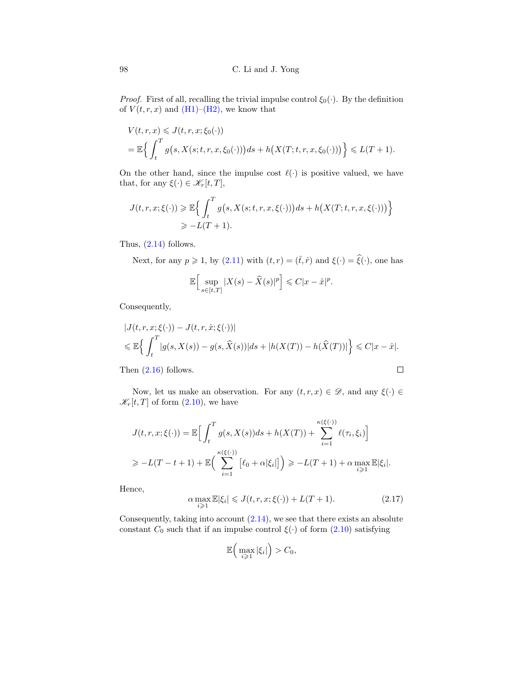*Proof.* First of all, recalling the trivial impulse control  $\xi_0(\cdot)$ . By the definition of  $V(t, r, x)$  and  $(H1)–(H2)$  $(H1)–(H2)$ , we know that

$$
V(t,r,x) \leqslant J(t,r,x;\xi_0(\cdot))
$$
  
=  $\mathbb{E}\left\{\int_t^T g\big(s, X(s;t,r,x,\xi_0(\cdot))\big)ds + h\big(X(T;t,r,x,\xi_0(\cdot))\big)\right\} \leqslant L(T+1).$ 

On the other hand, since the impulse cost  $\ell(\cdot)$  is positive valued, we have that, for any  $\xi(\cdot) \in \mathscr{K}_r[t,T]$ ,

$$
J(t, r, x; \xi(\cdot)) \geq \mathbb{E}\Big\{\int_t^T g\big(s, X(s; t, r, x, \xi(\cdot))\big)ds + h\big(X(T; t, r, x, \xi(\cdot))\big)\Big\}
$$
  

$$
\geq -L(T+1).
$$

Thus,  $(2.14)$  follows.

Next, for any  $p \ge 1$ , by  $(2.11)$  with  $(t, r) = (\hat{t}, \hat{r})$  and  $\xi(\cdot) = \hat{\xi}(\cdot)$ , one has

$$
\mathbb{E}\Big[\sup_{s\in[t,T]}|X(s)-\widehat{X}(s)|^p\Big]\leqslant C|x-\widehat{x}|^p.
$$

Consequently,

$$
|J(t, r, x; \xi(\cdot)) - J(t, r, \hat{x}; \xi(\cdot))|
$$
  
\$\leq \mathbb{E}\left\{\int\_t^T |g(s, X(s)) - g(s, \hat{X}(s))|ds + |h(X(T)) - h(\hat{X}(T))|\right\} \leq C|x - \hat{x}|\$.  
Then (2.16) follows.

Then [\(2.16\)](#page-8-1) follows.

Now, let us make an observation. For any  $(t, r, x) \in \mathcal{D}$ , and any  $\xi(\cdot) \in$  $\mathscr{K}_r[t,T]$  of form  $(2.10)$ , we have

$$
J(t, r, x; \xi(\cdot)) = \mathbb{E}\Big[\int_t^T g(s, X(s))ds + h(X(T)) + \sum_{i=1}^{\kappa(\xi(\cdot))} \ell(\tau_i, \xi_i)\Big]
$$
  
\n
$$
\geq -L(T - t + 1) + \mathbb{E}\Big(\sum_{i=1}^{\kappa(\xi(\cdot))} [\ell_0 + \alpha|\xi_i] \Big) \geq -L(T + 1) + \alpha \max_{i \geq 1} \mathbb{E}|\xi_i|.
$$

Hence,

$$
\alpha \max_{i \geq 1} \mathbb{E} |\xi_i| \leqslant J(t, r, x; \xi(\cdot)) + L(T + 1). \tag{2.17}
$$

Consequently, taking into account  $(2.14)$ , we see that there exists an absolute constant  $C_0$  such that if an impulse control  $\xi(\cdot)$  of form  $(2.10)$  satisfying

$$
\mathbb{E}\Big(\max_{i\geqslant 1}|\xi_i|\Big)>C_0,
$$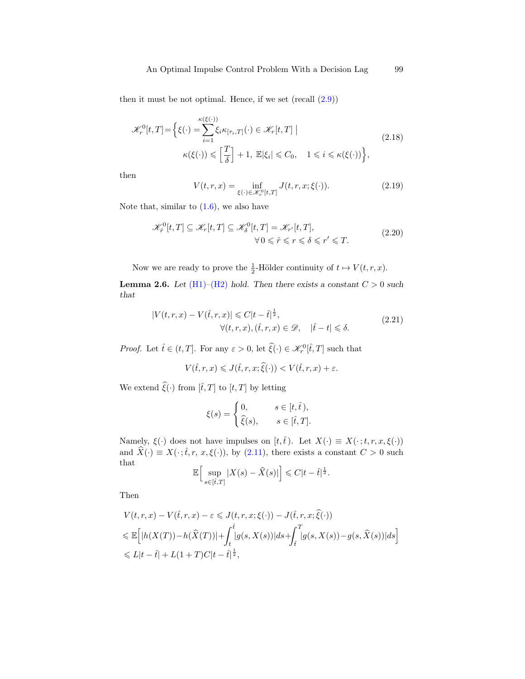then it must be not optimal. Hence, if we set  $(\text{recall } (2.9))$  $(\text{recall } (2.9))$  $(\text{recall } (2.9))$ 

<span id="page-10-0"></span>
$$
\mathcal{K}_r^0[t,T] = \left\{ \xi(\cdot) = \sum_{i=1}^{\kappa(\xi(\cdot))} \xi_i \kappa_{[\tau_i,T]}(\cdot) \in \mathcal{K}_r[t,T] \mid \right\}
$$
\n
$$
\kappa(\xi(\cdot)) \leq \left[ \frac{T}{\delta} \right] + 1, \ \mathbb{E}|\xi_i| \leq C_0, \quad 1 \leq i \leq \kappa(\xi(\cdot)) \right\},\tag{2.18}
$$

then

$$
V(t,r,x) = \inf_{\xi(\cdot) \in \mathcal{K}_r^0[t,T]} J(t,r,x;\xi(\cdot)).
$$
\n(2.19)

Note that, similar to  $(1.6)$ , we also have

<span id="page-10-2"></span>
$$
\mathcal{K}_{\hat{r}}^{0}[t,T] \subseteq \mathcal{K}_{r}[t,T] \subseteq \mathcal{K}_{\delta}^{0}[t,T] = \mathcal{K}_{r'}[t,T],
$$
\n
$$
\forall 0 \leq \hat{r} \leq r \leq \delta \leq r' \leq T.
$$
\n(2.20)

Now we are ready to prove the  $\frac{1}{2}$ -Hölder continuity of  $t \mapsto V(t, r, x)$ .

**Lemma 2.6.** Let  $(H1)$ – $(H2)$  hold. Then there exists a constant  $C > 0$  such that

<span id="page-10-1"></span>
$$
|V(t,r,x) - V(\hat{t},r,x)| \leq C|t - \hat{t}|^{\frac{1}{2}},
$$
  
 
$$
\forall (t,r,x), (\hat{t},r,x) \in \mathcal{D}, \quad |\hat{t} - t| \leq \delta.
$$
 (2.21)

*Proof.* Let  $\hat{t} \in (t, T]$ . For any  $\varepsilon > 0$ , let  $\hat{\xi}(\cdot) \in \mathcal{K}_r^0[\hat{t}, T]$  such that

$$
V(\hat{t},r,x) \leqslant J(\hat{t},r,x;\hat{\xi}(\cdot)) < V(\hat{t},r,x) + \varepsilon.
$$

We extend  $\hat{\xi}(\cdot)$  from  $[\hat{t}, T]$  to  $[t, T]$  by letting

$$
\xi(s) = \begin{cases} 0, & s \in [t, \hat{t}), \\ \hat{\xi}(s), & s \in [\hat{t}, T]. \end{cases}
$$

Namely,  $\xi(\cdot)$  does not have impulses on  $[t,\hat{t})$ . Let  $X(\cdot) \equiv X(\cdot;t,r,x,\xi(\cdot))$ and  $\widehat{X}(\cdot) \equiv X(\cdot;\hat{t},r,\,x,\xi(\cdot))$ , by [\(2.11\)](#page-6-0), there exists a constant  $C > 0$  such that that i

$$
\mathbb{E}\Big[\sup_{s\in[\hat{t},T]}|X(s)-\widehat{X}(s)|\Big]\leqslant C|t-\hat{t}|^{\frac{1}{2}}.
$$

Then

$$
V(t,r,x) - V(\hat{t},r,x) - \varepsilon \leqslant J(t,r,x;\xi(\cdot)) - J(\hat{t},r,x;\hat{\xi}(\cdot))
$$
  

$$
\leqslant \mathbb{E}\Big[|h(X(T)) - h(\hat{X}(T))| + \int_t^{\hat{t}} |g(s,X(s))|ds + \int_{\hat{t}}^T |g(s,X(s)) - g(s,\hat{X}(s))|ds\Big]
$$
  

$$
\leqslant L|t - \hat{t}| + L(1+T)C|t - \hat{t}|^{\frac{1}{2}},
$$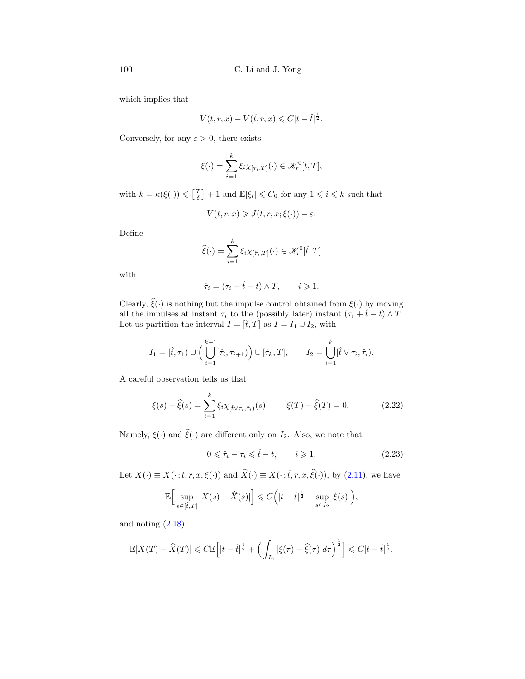which implies that

$$
V(t, r, x) - V(\hat{t}, r, x) \leq C|t - \hat{t}|^{\frac{1}{2}}.
$$

Conversely, for any  $\varepsilon > 0$ , there exists

$$
\xi(\cdot) = \sum_{i=1}^k \xi_i \chi_{[\tau_i,T]}(\cdot) \in \mathcal{K}_r^0[t,T],
$$

with  $k = \kappa(\xi(\cdot)) \leq \left[\frac{T}{\delta}\right] + 1$  and  $\mathbb{E}|\xi_i| \leq C_0$  for any  $1 \leq i \leq k$  such that

$$
V(t,r,x) \geqslant J(t,r,x;\xi(\cdot)) - \varepsilon.
$$

Define

$$
\widehat{\xi}(\cdot) = \sum_{i=1}^{k} \xi_i \chi_{[\hat{\tau}_i,T]}(\cdot) \in \mathcal{K}_r^0[\hat{t},T]
$$

with

$$
\hat{\tau}_i = (\tau_i + \hat{t} - t) \wedge T, \qquad i \geqslant 1.
$$

Clearly,  $\hat{\xi}(\cdot)$  is nothing but the impulse control obtained from  $\xi(\cdot)$  by moving all the impulses at instant  $\tau_i$  to the (possibly later) instant  $(\tau_i + \hat{t} - t) \wedge T$ . Let us partition the interval  $I = [\hat{t}, T]$  as  $I = I_1 \cup I_2$ , with

$$
I_1 = [\hat{t}, \tau_1) \cup \Big(\bigcup_{i=1}^{k-1} [\hat{\tau}_i, \tau_{i+1})\Big) \cup [\hat{\tau}_k, T], \qquad I_2 = \bigcup_{i=1}^k [\hat{t} \vee \tau_i, \hat{\tau}_i).
$$

A careful observation tells us that

<span id="page-11-0"></span>
$$
\xi(s) - \hat{\xi}(s) = \sum_{i=1}^{k} \xi_i \chi_{[\hat{t} \vee \tau_i, \hat{\tau}_i)}(s), \qquad \xi(T) - \hat{\xi}(T) = 0.
$$
 (2.22)

Namely,  $\xi(\cdot)$  and  $\hat{\xi}(\cdot)$  are different only on  $I_2$ . Also, we note that

$$
0 \leq \hat{\tau}_i - \tau_i \leq \hat{t} - t, \qquad i \geq 1. \tag{2.23}
$$

Let  $X(\cdot) \equiv X(\cdot; t, r, x, \xi(\cdot))$  and  $\hat{X}(\cdot) \equiv X(\cdot; \hat{t}, r, x, \hat{\xi}(\cdot))$ , by [\(2.11\)](#page-6-0), we have

$$
\mathbb{E}\Big[\sup_{s\in [\hat{t},T]}|X(s)-\widehat{X}(s)|\Big]\leqslant C\Big(|t-\hat{t}|^{\frac{1}{2}}+\sup_{s\in I_2}|\xi(s)|\Big),
$$

and noting  $(2.18)$ ,

$$
\mathbb{E}|X(T) - \widehat{X}(T)| \leq C \mathbb{E}\left[|t - \widehat{t}|^{\frac{1}{2}} + \left(\int_{I_2} |\xi(\tau) - \widehat{\xi}(\tau)| d\tau\right)^{\frac{1}{2}}\right] \leq C|t - \widehat{t}|^{\frac{1}{2}}.
$$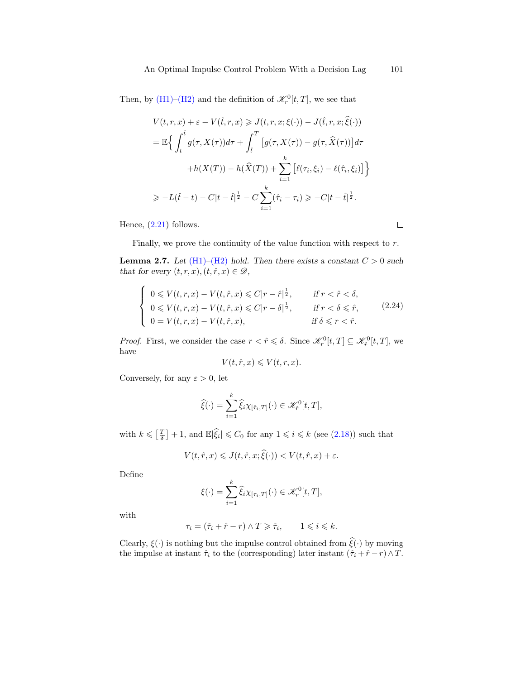Then, by [\(H1\)](#page-4-0)[–\(H2\)](#page-4-1) and the definition of  $\mathcal{K}_r^0[t,T]$ , we see that

$$
V(t,r,x) + \varepsilon - V(\hat{t},r,x) \ge J(t,r,x;\xi(\cdot)) - J(\hat{t},r,x;\hat{\xi}(\cdot))
$$
  
\n
$$
= \mathbb{E}\Big\{\int_t^{\hat{t}} g(\tau, X(\tau))d\tau + \int_{\hat{t}}^T \big[g(\tau, X(\tau)) - g(\tau, \hat{X}(\tau))\big]d\tau
$$
  
\n
$$
+ h(X(T)) - h(\hat{X}(T)) + \sum_{i=1}^k \big[\ell(\tau_i, \xi_i) - \ell(\hat{\tau}_i, \xi_i)\big]\Big\}
$$
  
\n
$$
\ge -L(\hat{t}-t) - C|t-\hat{t}|^{\frac{1}{2}} - C\sum_{i=1}^k (\hat{\tau}_i - \tau_i) \ge -C|t-\hat{t}|^{\frac{1}{2}}.
$$

Hence,  $(2.21)$  follows.

Finally, we prove the continuity of the value function with respect to r.

**Lemma 2.7.** Let  $(H1)$ – $(H2)$  hold. Then there exists a constant  $C > 0$  such that for every  $(t, r, x), (t, \hat{r}, x) \in \mathcal{D}$ ,

<span id="page-12-0"></span>
$$
\begin{cases}\n0 \leqslant V(t,r,x) - V(t,\hat{r},x) \leqslant C|r-\hat{r}|^{\frac{1}{2}}, & \text{if } r < \hat{r} < \delta, \\
0 \leqslant V(t,r,x) - V(t,\hat{r},x) \leqslant C|r-\delta|^{\frac{1}{2}}, & \text{if } r < \delta \leqslant \hat{r}, \\
0 = V(t,r,x) - V(t,\hat{r},x), & \text{if } \delta \leqslant r < \hat{r}.\n\end{cases}
$$
\n(2.24)

*Proof.* First, we consider the case  $r < \hat{r} \leq \delta$ . Since  $\mathcal{K}_r^0[t,T] \subseteq \mathcal{K}_{\hat{r}}^0[t,T]$ , we have

$$
V(t, \hat{r}, x) \leqslant V(t, r, x).
$$

Conversely, for any  $\varepsilon > 0$ , let

$$
\widehat{\xi}(\cdot) = \sum_{i=1}^k \widehat{\xi}_i \chi_{[\hat{\tau}_i,T]}(\cdot) \in \mathcal{K}_{\hat{r}}^0[t,T],
$$

with  $k \leq \left[\frac{T}{\delta}\right] + 1$ , and  $\mathbb{E}|\hat{\xi}_i| \leq C_0$  for any  $1 \leq i \leq k$  (see [\(2.18\)](#page-10-0)) such that

$$
V(t, \hat{r}, x) \leqslant J(t, \hat{r}, x; \hat{\xi}(\cdot)) < V(t, \hat{r}, x) + \varepsilon.
$$

Define

$$
\xi(\cdot) = \sum_{i=1}^k \widehat{\xi}_i \chi_{[\tau_i,T]}(\cdot) \in \mathscr{K}_r^0[t,T],
$$

with

$$
\tau_i = (\hat{\tau}_i + \hat{r} - r) \wedge T \geq \hat{\tau}_i, \qquad 1 \leqslant i \leqslant k.
$$

Clearly,  $\xi(\cdot)$  is nothing but the impulse control obtained from  $\hat{\xi}(\cdot)$  by moving the impulse at instant  $\hat{\tau}_i$  to the (corresponding) later instant  $(\hat{\tau}_i + \hat{r} - r) \wedge T$ .

 $\Box$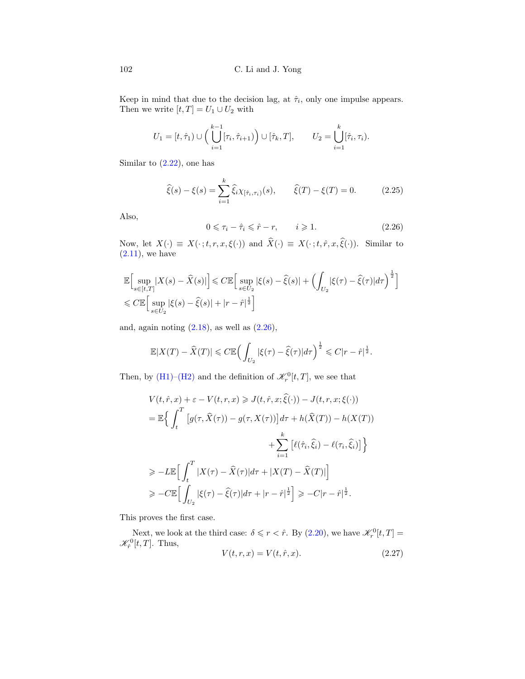Keep in mind that due to the decision lag, at  $\hat{\tau}_i$ , only one impulse appears. Then we write  $[t,T]=U_1\cup U_2$  with

$$
U_1 = [t, \hat{\tau}_1) \cup \left( \bigcup_{i=1}^{k-1} [\tau_i, \hat{\tau}_{i+1}) \right) \cup [\hat{\tau}_k, T], \qquad U_2 = \bigcup_{i=1}^k [\hat{\tau}_i, \tau_i).
$$

Similar to  $(2.22)$ , one has

$$
\hat{\xi}(s) - \xi(s) = \sum_{i=1}^{k} \hat{\xi}_i \chi_{[\hat{\tau}_i, \tau_i)}(s), \qquad \hat{\xi}(T) - \xi(T) = 0.
$$
 (2.25)

Also,

<span id="page-13-0"></span>
$$
0 \leq \tau_i - \hat{\tau}_i \leq \hat{r} - r, \qquad i \geqslant 1. \tag{2.26}
$$

Now, let  $X(\cdot) \equiv X(\cdot; t, r, x, \xi(\cdot))$  and  $\widehat{X}(\cdot) \equiv X(\cdot; t, \hat{r}, x, \widehat{\xi}(\cdot))$ . Similar to  $(2.11)$ , we have

$$
\mathbb{E}\Big[\sup_{s\in[t,T]}|X(s) - \widehat{X}(s)|\Big] \leq C \mathbb{E}\Big[\sup_{s\in U_2}|\xi(s) - \widehat{\xi}(s)| + \left(\int_{U_2}|\xi(\tau) - \widehat{\xi}(\tau)|d\tau\right)^{\frac{1}{2}}\Big]\n\n\leq C \mathbb{E}\Big[\sup_{s\in U_2}|\xi(s) - \widehat{\xi}(s)| + |r - \widehat{r}|^{\frac{1}{2}}\Big]
$$

and, again noting  $(2.18)$ , as well as  $(2.26)$ ,

$$
\mathbb{E}|X(T) - \widehat{X}(T)| \leq C \mathbb{E}\Big(\int_{U_2} |\xi(\tau) - \widehat{\xi}(\tau)| d\tau\Big)^{\frac{1}{2}} \leq C|r - \widehat{r}|^{\frac{1}{2}}.
$$

Then, by [\(H1\)](#page-4-0)[–\(H2\)](#page-4-1) and the definition of  $\mathcal{K}_r^0[t,T]$ , we see that

$$
V(t, \hat{r}, x) + \varepsilon - V(t, r, x) \geqslant J(t, \hat{r}, x; \hat{\xi}(\cdot)) - J(t, r, x; \xi(\cdot))
$$
  
\n
$$
= \mathbb{E}\Big\{\int_{t}^{T} \Big[g(\tau, \hat{X}(\tau)) - g(\tau, X(\tau))\Big]d\tau + h(\hat{X}(T)) - h(X(T))
$$
  
\n
$$
+ \sum_{i=1}^{k} \Big[\ell(\hat{\tau}_i, \hat{\xi}_i) - \ell(\tau_i, \hat{\xi}_i)\Big]\Big\}
$$
  
\n
$$
\geqslant -L\mathbb{E}\Big[\int_{t}^{T} |X(\tau) - \hat{X}(\tau)|d\tau + |X(T) - \hat{X}(T)|\Big]
$$
  
\n
$$
\geqslant -C\mathbb{E}\Big[\int_{U_2} |\xi(\tau) - \hat{\xi}(\tau)|d\tau + |r - \hat{r}|^{\frac{1}{2}}\Big] \geqslant -C|r - \hat{r}|^{\frac{1}{2}}.
$$

This proves the first case.

Next, we look at the third case:  $\delta \leqslant r < \hat{r}$ . By [\(2.20\)](#page-10-2), we have  $\mathcal{K}_r^0[t,T] =$  $\mathscr{K}_{\hat{r}}^{0}[t,T].$  Thus,

<span id="page-13-1"></span>
$$
V(t,r,x) = V(t,\hat{r},x). \tag{2.27}
$$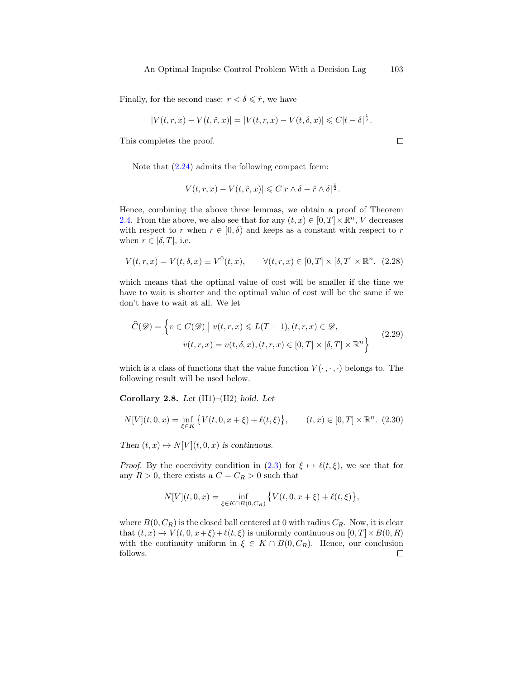Finally, for the second case:  $r < \delta \leq \hat{r}$ , we have

$$
|V(t,r,x) - V(t,\hat{r},x)| = |V(t,r,x) - V(t,\delta,x)| \leq C|t-\delta|^{\frac{1}{2}}.
$$

This completes the proof.

Note that [\(2.24\)](#page-12-0) admits the following compact form:

$$
|V(t,r,x) - V(t,\hat{r},x)| \leq C|r \wedge \delta - \hat{r} \wedge \delta|^{\frac{1}{2}}.
$$

Hence, combining the above three lemmas, we obtain a proof of Theorem [2.4.](#page-8-2) From the above, we also see that for any  $(t, x) \in [0, T] \times \mathbb{R}^n$ , V decreases with respect to r when  $r \in [0, \delta)$  and keeps as a constant with respect to r when  $r \in [\delta, T]$ , i.e.

<span id="page-14-0"></span>
$$
V(t,r,x)=V(t,\delta,x)\equiv V^0(t,x),\qquad \forall (t,r,x)\in[0,T]\times[\delta,T]\times\mathbb{R}^n.\eqno(2.28)
$$

which means that the optimal value of cost will be smaller if the time we have to wait is shorter and the optimal value of cost will be the same if we don't have to wait at all. We let

<span id="page-14-1"></span>
$$
\widehat{C}(\mathscr{D}) = \left\{ v \in C(\mathscr{D}) \mid v(t, r, x) \le L(T + 1), (t, r, x) \in \mathscr{D}, \right.\n\quad \left. v(t, r, x) = v(t, \delta, x), (t, r, x) \in [0, T] \times [\delta, T] \times \mathbb{R}^n \right\}
$$
\n(2.29)

which is a class of functions that the value function  $V(\cdot, \cdot, \cdot)$  belongs to. The following result will be used below.

Corollary 2.8. Let  $(H1)–(H2)$  hold. Let

$$
N[V](t,0,x) = \inf_{\xi \in K} \{ V(t,0,x+\xi) + \ell(t,\xi) \}, \qquad (t,x) \in [0,T] \times \mathbb{R}^n. \tag{2.30}
$$

Then  $(t, x) \mapsto N[V](t, 0, x)$  is continuous.

*Proof.* By the coercivity condition in [\(2.3\)](#page-5-0) for  $\xi \mapsto \ell(t, \xi)$ , we see that for any  $R > 0$ , there exists a  $C = C_R > 0$  such that

$$
N[V](t,0,x) = \inf_{\xi \in K \cap B(0,C_R)} \{V(t,0,x+\xi) + \ell(t,\xi)\},\,
$$

where  $B(0, C_R)$  is the closed ball centered at 0 with radius  $C_R$ . Now, it is clear that  $(t, x) \mapsto V(t, 0, x+\xi)+\ell(t, \xi)$  is uniformly continuous on  $[0, T] \times B(0, R)$ with the continuity uniform in  $\xi \in K \cap B(0, C_R)$ . Hence, our conclusion follows. $\Box$ 

 $\Box$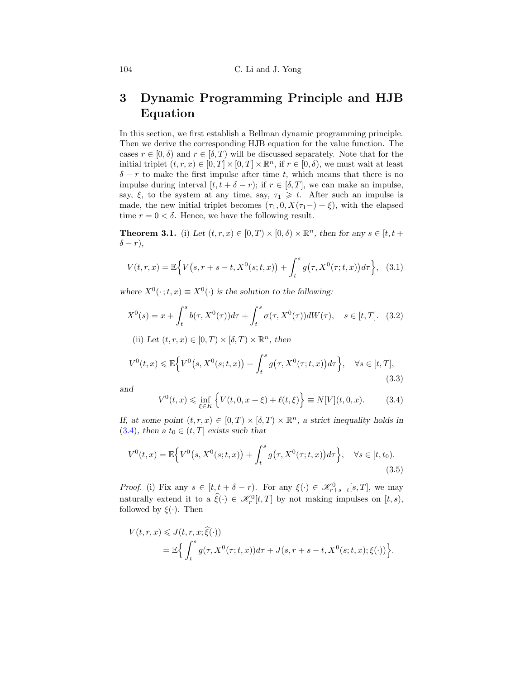# 3 Dynamic Programming Principle and HJB Equation

In this section, we first establish a Bellman dynamic programming principle. Then we derive the corresponding HJB equation for the value function. The cases  $r \in [0, \delta)$  and  $r \in [\delta, T)$  will be discussed separately. Note that for the initial triplet  $(t, r, x) \in [0, T] \times [0, T] \times \mathbb{R}^n$ , if  $r \in [0, \delta)$ , we must wait at least  $\delta - r$  to make the first impulse after time t, which means that there is no impulse during interval  $[t, t + \delta - r)$ ; if  $r \in [\delta, T]$ , we can make an impulse, say,  $\xi$ , to the system at any time, say,  $\tau_1 \geq t$ . After such an impulse is made, the new initial triplet becomes  $(\tau_1, 0, X(\tau_1-)+\xi)$ , with the elapsed time  $r = 0 < \delta$ . Hence, we have the following result.

<span id="page-15-5"></span>**Theorem 3.1.** (i) Let  $(t, r, x) \in [0, T) \times [0, \delta) \times \mathbb{R}^n$ , then for any  $s \in [t, t +$  $\delta - r$ ),

<span id="page-15-4"></span>
$$
V(t,r,x) = \mathbb{E}\Big\{V\big(s,r+s-t,X^{0}(s;t,x)\big) + \int_{t}^{s} g\big(\tau,X^{0}(\tau;t,x)\big)d\tau\Big\}, \quad (3.1)
$$

where  $X^0(\cdot; t, x) \equiv X^0(\cdot)$  is the solution to the following:

<span id="page-15-3"></span>
$$
X^{0}(s) = x + \int_{t}^{s} b(\tau, X^{0}(\tau))d\tau + \int_{t}^{s} \sigma(\tau, X^{0}(\tau))dW(\tau), \quad s \in [t, T]. \tag{3.2}
$$

(ii) Let  $(t, r, x) \in [0, T) \times [\delta, T) \times \mathbb{R}^n$ , then

<span id="page-15-1"></span>
$$
V^{0}(t,x) \leq \mathbb{E}\Big\{V^{0}\big(s,X^{0}(s;t,x)\big)+\int_{t}^{s}g\big(\tau,X^{0}(\tau;t,x)\big)d\tau\Big\}, \quad \forall s \in [t,T],\tag{3.3}
$$

and

<span id="page-15-0"></span>
$$
V^{0}(t,x) \le \inf_{\xi \in K} \left\{ V(t,0,x+\xi) + \ell(t,\xi) \right\} \equiv N[V](t,0,x). \tag{3.4}
$$

If, at some point  $(t, r, x) \in [0, T) \times [\delta, T) \times \mathbb{R}^n$ , a strict inequality holds in [\(3.4\)](#page-15-0), then a  $t_0 \in (t, T]$  exists such that

<span id="page-15-2"></span>
$$
V^{0}(t,x) = \mathbb{E}\Big\{V^{0}(s,X^{0}(s;t,x)) + \int_{t}^{s} g(\tau,X^{0}(\tau;t,x))d\tau\Big\}, \quad \forall s \in [t,t_{0}).
$$
\n(3.5)

*Proof.* (i) Fix any  $s \in [t, t + \delta - r)$ . For any  $\xi(\cdot) \in \mathcal{K}_{r+s-t}^0[s, T]$ , we may naturally extend it to a  $\hat{\xi}(\cdot) \in \mathcal{K}_r^0[t,T]$  by not making impulses on  $[t, s)$ , followed by  $\xi(\cdot)$ . Then

$$
V(t,r,x) \leqslant J(t,r,x;\hat{\xi}(\cdot))
$$
  
=  $\mathbb{E}\Big\{\int_t^s g(\tau,X^0(\tau;t,x))d\tau + J(s,r+s-t,X^0(s;t,x);\xi(\cdot))\Big\}.$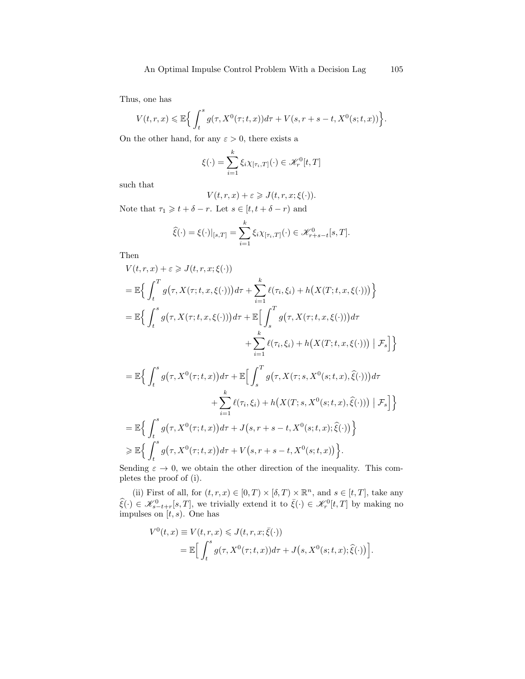Thus, one has

$$
V(t,r,x) \leq \mathbb{E}\Big\{\int_t^s g(\tau,X^0(\tau;t,x))d\tau + V(s,r+s-t,X^0(s;t,x))\Big\}.
$$

On the other hand, for any  $\varepsilon > 0$ , there exists a

$$
\xi(\cdot) = \sum_{i=1}^{k} \xi_i \chi_{[\tau_i,T]}(\cdot) \in \mathcal{K}_r^0[t,T]
$$

such that

$$
V(t,r,x) + \varepsilon \geqslant J(t,r,x;\xi(\cdot)).
$$

Note that  $\tau_1 \geqslant t + \delta - r$ . Let  $s \in [t, t + \delta - r)$  and

$$
\widehat{\xi}(\cdot) = \xi(\cdot)|_{[s,T]} = \sum_{i=1}^k \xi_i \chi_{[\tau_i,T]}(\cdot) \in \mathcal{K}^0_{r+s-t}[s,T].
$$

Then

$$
V(t,r,x) + \varepsilon \geq J(t,r,x;\xi(\cdot))
$$
  
\n
$$
= \mathbb{E}\Big\{\int_{t}^{T} g(\tau, X(\tau;t,x,\xi(\cdot)))d\tau + \sum_{i=1}^{k} \ell(\tau_{i},\xi_{i}) + h(X(T;t,x,\xi(\cdot)))\Big\}
$$
  
\n
$$
= \mathbb{E}\Big\{\int_{t}^{s} g(\tau, X(\tau;t,x,\xi(\cdot)))d\tau + \mathbb{E}\Big[\int_{s}^{T} g(\tau, X(\tau;t,x,\xi(\cdot)))d\tau
$$
  
\n
$$
+ \sum_{i=1}^{k} \ell(\tau_{i},\xi_{i}) + h(X(T;t,x,\xi(\cdot))) \mid \mathcal{F}_{s}\Big]\Big\}
$$
  
\n
$$
= \mathbb{E}\Big\{\int_{t}^{s} g(\tau, X^{0}(\tau;t,x))d\tau + \mathbb{E}\Big[\int_{s}^{T} g(\tau, X(\tau;s,X^{0}(s;t,x),\hat{\xi}(\cdot)))d\tau
$$
  
\n
$$
+ \sum_{i=1}^{k} \ell(\tau_{i},\xi_{i}) + h(X(T;s,X^{0}(s;t,x),\hat{\xi}(\cdot))) \mid \mathcal{F}_{s}\Big]\Big\}
$$

$$
= \mathbb{E}\Big\{\int_t^s g\big(\tau, X^0(\tau; t, x)\big)d\tau + J\big(s, r+s-t, X^0(s; t, x); \widehat{\xi}(\cdot)\big)\Big\}
$$
  

$$
\geq \mathbb{E}\Big\{\int_t^s g\big(\tau, X^0(\tau; t, x)\big)d\tau + V\big(s, r+s-t, X^0(s; t, x)\big)\Big\}.
$$

Sending  $\varepsilon \to 0$ , we obtain the other direction of the inequality. This completes the proof of (i).

(ii) First of all, for  $(t, r, x) \in [0, T) \times [\delta, T) \times \mathbb{R}^n$ , and  $s \in [t, T]$ , take any  $\widehat{\xi}(\cdot) \in \mathscr{K}_{s-t+r}^{0}[s,T]$ , we trivially extend it to  $\overline{\xi}(\cdot) \in \mathscr{K}_{r}^{0}[t,T]$  by making no impulses on  $[t, s)$ . One has

$$
V^{0}(t,x) \equiv V(t,r,x) \leq J(t,r,x;\bar{\xi}(\cdot))
$$
  
= 
$$
\mathbb{E}\Big[\int_{t}^{s} g(\tau, X^{0}(\tau;t,x))d\tau + J(s, X^{0}(s;t,x);\hat{\xi}(\cdot))\Big].
$$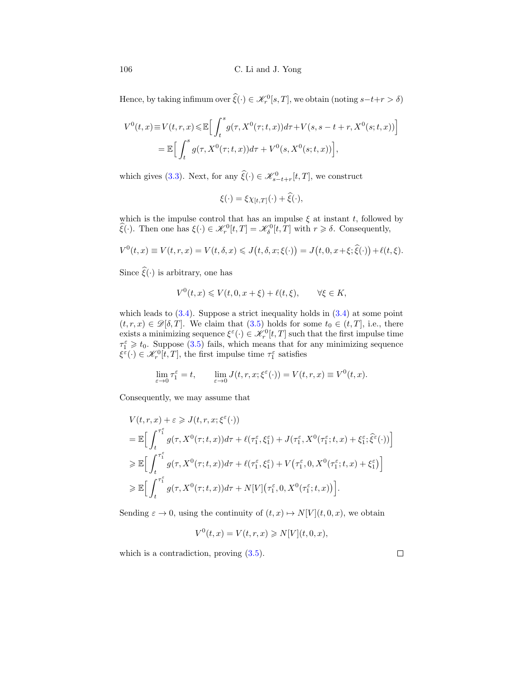Hence, by taking infimum over  $\hat{\xi}(\cdot) \in \mathcal{K}_r^0[s,T]$ , we obtain (noting  $s-t+r > \delta$ )

$$
V^{0}(t,x) \equiv V(t,r,x) \leq \mathbb{E}\Big[\int_{t}^{s} g(\tau,X^{0}(\tau;t,x))d\tau + V(s,s-t+r,X^{0}(s;t,x))\Big]
$$
  
= 
$$
\mathbb{E}\Big[\int_{t}^{s} g(\tau,X^{0}(\tau;t,x))d\tau + V^{0}(s,X^{0}(s;t,x))\Big],
$$

which gives [\(3.3\)](#page-15-1). Next, for any  $\widehat{\xi}(\cdot) \in \mathcal{K}_{s-t+r}^0[t,T]$ , we construct

$$
\xi(\cdot) = \xi \chi_{[t,T]}(\cdot) + \widehat{\xi}(\cdot),
$$

which is the impulse control that has an impulse  $\xi$  at instant t, followed by  $\widehat{\xi}(\cdot)$ . Then one has  $\xi(\cdot) \in \mathcal{K}_r^0[t,T] = \mathcal{K}_\delta^0[t,T]$  with  $r \geq \delta$ . Consequently,

$$
V^0(t,x) \equiv V(t,r,x) = V(t,\delta,x) \leqslant J\big(t,\delta,x;\xi(\cdot)\big) = J\big(t,0,x+\xi;\widehat{\xi}(\cdot)\big) + \ell(t,\xi).
$$

Since  $\widehat{\xi}(\cdot)$  is arbitrary, one has

$$
V^{0}(t,x) \leqslant V(t,0,x+\xi) + \ell(t,\xi), \qquad \forall \xi \in K,
$$

which leads to  $(3.4)$ . Suppose a strict inequality holds in  $(3.4)$  at some point  $(t, r, x) \in \mathscr{D}[\delta, T]$ . We claim that  $(3.5)$  holds for some  $t_0 \in (t, T]$ , i.e., there exists a minimizing sequence  $\xi^{\varepsilon}(\cdot) \in \mathcal{K}_r^0[t,T]$  such that the first impulse time  $\tau_1^{\varepsilon} \geq t_0$ . Suppose [\(3.5\)](#page-15-2) fails, which means that for any minimizing sequence  $\xi^{\varepsilon}(\cdot) \in \mathcal{K}_{r}^{0}[t,T]$ , the first impulse time  $\tau_{1}^{\varepsilon}$  satisfies

$$
\lim_{\varepsilon \to 0} \tau_1^{\varepsilon} = t, \qquad \lim_{\varepsilon \to 0} J(t, r, x; \xi^{\varepsilon}(\cdot)) = V(t, r, x) \equiv V^0(t, x).
$$

Consequently, we may assume that

$$
V(t, r, x) + \varepsilon \geqslant J(t, r, x; \xi^{\varepsilon}(\cdot))
$$
  
\n
$$
= \mathbb{E}\Big[\int_{t}^{\tau_{1}^{\varepsilon}} g(\tau, X^{0}(\tau; t, x)) d\tau + \ell(\tau_{1}^{\varepsilon}, \xi_{1}^{\varepsilon}) + J(\tau_{1}^{\varepsilon}, X^{0}(\tau_{1}^{\varepsilon}; t, x) + \xi_{1}^{\varepsilon}; \widehat{\xi}^{\varepsilon}(\cdot))\Big]
$$
  
\n
$$
\geqslant \mathbb{E}\Big[\int_{t}^{\tau_{1}^{\varepsilon}} g(\tau, X^{0}(\tau; t, x)) d\tau + \ell(\tau_{1}^{\varepsilon}, \xi_{1}^{\varepsilon}) + V(\tau_{1}^{\varepsilon}, 0, X^{0}(\tau_{1}^{\varepsilon}; t, x) + \xi_{1}^{\varepsilon})\Big]
$$
  
\n
$$
\geqslant \mathbb{E}\Big[\int_{t}^{\tau_{1}^{\varepsilon}} g(\tau, X^{0}(\tau; t, x)) d\tau + N[V](\tau_{1}^{\varepsilon}, 0, X^{0}(\tau_{1}^{\varepsilon}; t, x))\Big].
$$

Sending  $\varepsilon \to 0$ , using the continuity of  $(t, x) \mapsto N[V](t, 0, x)$ , we obtain

$$
V^{0}(t,x) = V(t,r,x) \geqslant N[V](t,0,x),
$$

which is a contradiction, proving  $(3.5)$ .

 $\Box$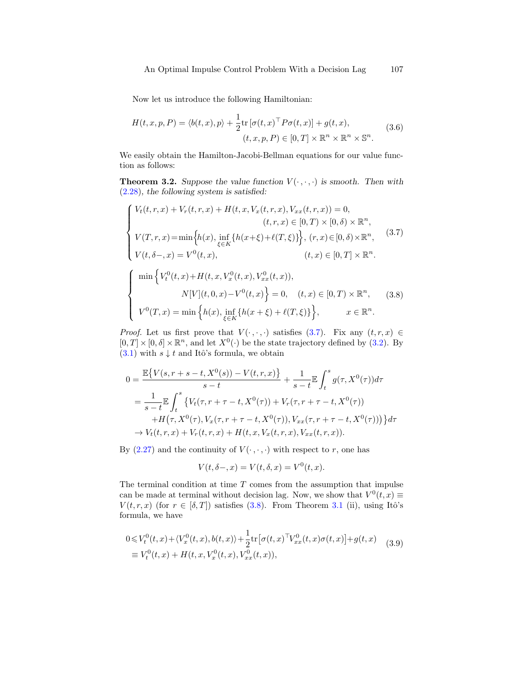Now let us introduce the following Hamiltonian:

$$
H(t, x, p, P) = \langle b(t, x), p \rangle + \frac{1}{2} \text{tr} \left[ \sigma(t, x)^{\top} P \sigma(t, x) \right] + g(t, x),
$$
  

$$
(t, x, p, P) \in [0, T] \times \mathbb{R}^n \times \mathbb{R}^n \times \mathbb{S}^n.
$$
 (3.6)

We easily obtain the Hamilton-Jacobi-Bellman equations for our value function as follows:

**Theorem 3.2.** Suppose the value function  $V(\cdot, \cdot, \cdot)$  is smooth. Then with [\(2.28\)](#page-14-0), the following system is satisfied:

<span id="page-18-0"></span>
$$
\begin{cases}\nV_t(t, r, x) + V_r(t, r, x) + H(t, x, V_x(t, r, x), V_{xx}(t, r, x)) = 0, \\
(t, r, x) \in [0, T) \times [0, \delta) \times \mathbb{R}^n, \\
V(T, r, x) = \min \left\{ h(x), \inf_{\xi \in K} \{ h(x + \xi) + \ell(T, \xi) \} \right\}, (r, x) \in [0, \delta) \times \mathbb{R}^n, \\
V(t, \delta-, x) = V^0(t, x), \qquad (t, x) \in [0, T] \times \mathbb{R}^n.\n\end{cases} (3.7)
$$

<span id="page-18-1"></span>
$$
\begin{cases}\n\min \left\{ V_t^0(t, x) + H(t, x, V_x^0(t, x), V_{xx}^0(t, x)), \right. \\
N[V](t, 0, x) - V^0(t, x) \right\} = 0, \quad (t, x) \in [0, T) \times \mathbb{R}^n, \quad (3.8) \\
V^0(T, x) = \min \left\{ h(x), \inf_{\xi \in K} \{ h(x + \xi) + \ell(T, \xi) \} \right\}, \quad x \in \mathbb{R}^n.\n\end{cases}
$$

*Proof.* Let us first prove that  $V(\cdot, \cdot, \cdot)$  satisfies [\(3.7\)](#page-18-0). Fix any  $(t, r, x) \in$  $[0, T] \times [0, \delta] \times \mathbb{R}^n$ , and let  $X^0(\cdot)$  be the state trajectory defined by [\(3.2\)](#page-15-3). By [\(3.1\)](#page-15-4) with  $s \downarrow t$  and Itô's formula, we obtain

$$
0 = \frac{\mathbb{E}\{V(s,r+s-t,X^{0}(s))-V(t,r,x)\}}{s-t} + \frac{1}{s-t}\mathbb{E}\int_{t}^{s}g(\tau,X^{0}(\tau))d\tau
$$
  
\n
$$
= \frac{1}{s-t}\mathbb{E}\int_{t}^{s}\{V_{t}(\tau,r+\tau-t,X^{0}(\tau))+V_{r}(\tau,r+\tau-t,X^{0}(\tau))+H(\tau,X^{0}(\tau),V_{x}(\tau,r+\tau-t,X^{0}(\tau)),V_{xx}(\tau,r+\tau-t,X^{0}(\tau)))\}d\tau
$$
  
\n
$$
\rightarrow V_{t}(t,r,x)+V_{r}(t,r,x)+H(t,x,V_{x}(t,r,x),V_{xx}(t,r,x)).
$$

By [\(2.27\)](#page-13-1) and the continuity of  $V(\cdot, \cdot, \cdot)$  with respect to r, one has

$$
V(t, \delta -, x) = V(t, \delta, x) = V^{0}(t, x).
$$

The terminal condition at time  $T$  comes from the assumption that impulse can be made at terminal without decision lag. Now, we show that  $V^0(t, x) \equiv$  $V(t, r, x)$  (for  $r \in [\delta, T]$ ) satisfies [\(3.8\)](#page-18-1). From Theorem [3.1](#page-15-5) (ii), using Itô's formula, we have

<span id="page-18-2"></span>
$$
0 \leq V_t^0(t, x) + \langle V_x^0(t, x), b(t, x) \rangle + \frac{1}{2} \text{tr} \left[ \sigma(t, x)^\top V_{xx}^0(t, x) \sigma(t, x) \right] + g(t, x) \tag{3.9}
$$
  

$$
\equiv V_t^0(t, x) + H(t, x, V_x^0(t, x), V_{xx}^0(t, x)),
$$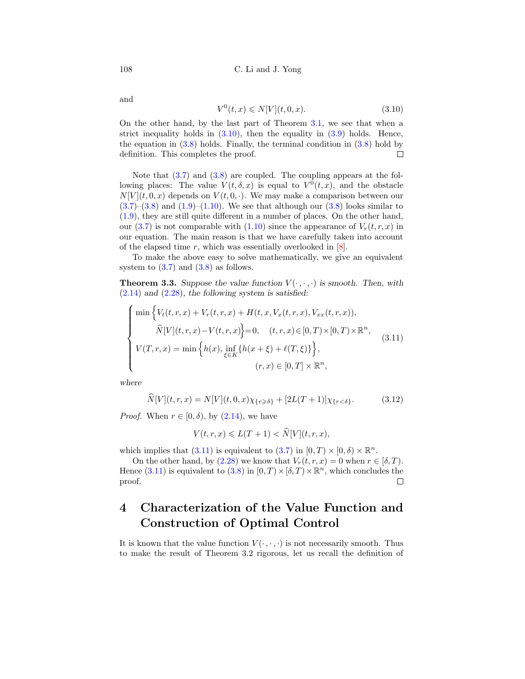and

<span id="page-19-0"></span>
$$
V^{0}(t,x) \leq N[V](t,0,x). \tag{3.10}
$$

On the other hand, by the last part of Theorem [3.1,](#page-15-5) we see that when a strict inequality holds in  $(3.10)$ , then the equality in  $(3.9)$  holds. Hence, the equation in  $(3.8)$  holds. Finally, the terminal condition in  $(3.8)$  hold by definition. This completes the proof.  $\Box$ 

Note that  $(3.7)$  and  $(3.8)$  are coupled. The coupling appears at the following places: The value  $V(t, \delta, x)$  is equal to  $V^0(t, x)$ , and the obstacle  $N[V](t, 0, x)$  depends on  $V(t, 0, \cdot)$ . We may make a comparison between our  $(3.7)$ – $(3.8)$  and  $(1.9)$ – $(1.10)$ . We see that although our  $(3.8)$  looks similar to [\(1.9\)](#page-3-0), they are still quite different in a number of places. On the other hand, our [\(3.7\)](#page-18-0) is not comparable with [\(1.10\)](#page-3-1) since the appearance of  $V_r(t, r, x)$  in our equation. The main reason is that we have carefully taken into account of the elapsed time  $r$ , which was essentially overlooked in  $[8]$ .

To make the above easy to solve mathematically, we give an equivalent system to  $(3.7)$  and  $(3.8)$  as follows.

**Theorem 3.3.** Suppose the value function  $V(\cdot, \cdot, \cdot)$  is smooth. Then, with  $(2.14)$  and  $(2.28)$ , the following system is satisfied:

<span id="page-19-1"></span>
$$
\begin{cases}\n\min \Big\{ V_t(t,r,x) + V_r(t,r,x) + H(t,x,V_x(t,r,x),V_{xx}(t,r,x)), \\
\widehat{N}[V](t,r,x) - V(t,r,x) \Big\} = 0, \quad (t,r,x) \in [0,T) \times [0,T) \times \mathbb{R}^n, \\
V(T,r,x) = \min \Big\{ h(x), \inf_{\xi \in K} \{ h(x+\xi) + \ell(T,\xi) \} \Big\}, \\
(r,x) \in [0,T] \times \mathbb{R}^n,\n\end{cases} \tag{3.11}
$$

where

$$
\widehat{N}[V](t,r,x) = N[V](t,0,x)\chi_{\{r\geq \delta\}} + [2L(T+1)]\chi_{\{r<\delta\}}.\tag{3.12}
$$

*Proof.* When  $r \in [0, \delta)$ , by  $(2.14)$ , we have

$$
V(t,r,x) \leqslant L(T+1) < \widehat{N}[V](t,r,x),
$$

which implies that [\(3.11\)](#page-19-1) is equivalent to [\(3.7\)](#page-18-0) in  $[0, T) \times [0, \delta) \times \mathbb{R}^n$ .

On the other hand, by  $(2.28)$  we know that  $V_r(t, r, x) = 0$  when  $r \in [\delta, T)$ . Hence [\(3.11\)](#page-19-1) is equivalent to [\(3.8\)](#page-18-1) in  $[0, T) \times [\delta, T) \times \mathbb{R}^n$ , which concludes the proof.  $\Box$ 

## 4 Characterization of the Value Function and Construction of Optimal Control

It is known that the value function  $V(\cdot,\cdot,\cdot)$  is not necessarily smooth. Thus to make the result of Theorem 3.2 rigorous, let us recall the definition of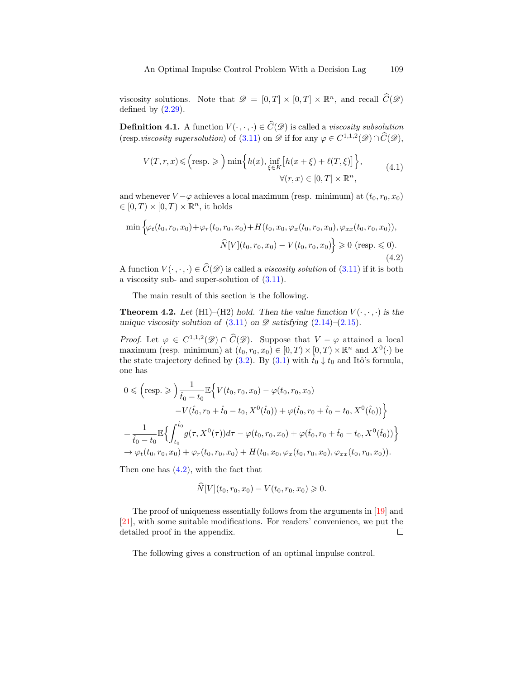viscosity solutions. Note that  $\mathscr{D} = [0, T] \times [0, T] \times \mathbb{R}^n$ , and recall  $\widehat{C}(\mathscr{D})$ defined by  $(2.29)$ .

<span id="page-20-1"></span>**Definition 4.1.** A function  $V(\cdot, \cdot, \cdot) \in \widehat{C}(\mathscr{D})$  is called a *viscosity subsolution* (resp.*viscosity supersolution*) of [\(3.11\)](#page-19-1) on  $\mathscr{D}$  if for any  $\varphi \in C^{1,1,2}(\mathscr{D}) \cap \widehat{C}(\mathscr{D})$ ,

$$
V(T,r,x) \leqslant \left(\text{resp.} \geqslant \right) \min\left\{h(x), \inf_{\xi \in K} \left[h(x+\xi) + \ell(T,\xi)\right]\right\},\tag{4.1}
$$

$$
\forall (r,x) \in [0,T] \times \mathbb{R}^n,
$$

and whenever  $V - \varphi$  achieves a local maximum (resp. minimum) at  $(t_0, r_0, x_0)$  $\in [0, T) \times [0, T) \times \mathbb{R}^n$ , it holds

<span id="page-20-0"></span>
$$
\min \left\{ \varphi_t(t_0, r_0, x_0) + \varphi_r(t_0, r_0, x_0) + H(t_0, x_0, \varphi_x(t_0, r_0, x_0), \varphi_{xx}(t_0, r_0, x_0)), \right.\\ \left. \widehat{N}[V](t_0, r_0, x_0) - V(t_0, r_0, x_0) \right\} \geq 0 \text{ (resp. } \leq 0). \tag{4.2}
$$

A function  $V(\cdot, \cdot, \cdot) \in \widehat{C}(\mathscr{D})$  is called a *viscosity solution* of [\(3.11\)](#page-19-1) if it is both a viscosity sub- and super-solution of [\(3.11\)](#page-19-1).

The main result of this section is the following.

**Theorem 4.2.** Let (H1)–(H2) hold. Then the value function  $V(\cdot, \cdot, \cdot)$  is the unique viscosity solution of  $(3.11)$  on  $\mathscr{D}$  satisfying  $(2.14)$ – $(2.15)$ .

*Proof.* Let  $\varphi \in C^{1,1,2}(\mathscr{D}) \cap \widehat{C}(\mathscr{D})$ . Suppose that  $V - \varphi$  attained a local maximum (resp. minimum) at  $(t_0, r_0, x_0) \in [0, T) \times [0, T) \times \mathbb{R}^n$  and  $X^0(\cdot)$  be the state trajectory defined by [\(3.2\)](#page-15-3). By [\(3.1\)](#page-15-4) with  $\hat{t}_0 \downarrow t_0$  and Itô's formula, one has

$$
0 \leq \left(\text{resp.} \geqslant\right) \frac{1}{\hat{t}_0 - t_0} \mathbb{E} \Big\{ V(t_0, r_0, x_0) - \varphi(t_0, r_0, x_0) - V(\hat{t}_0, r_0 + \hat{t}_0 - t_0, X^0(\hat{t}_0)) + \varphi(\hat{t}_0, r_0 + \hat{t}_0 - t_0, X^0(\hat{t}_0)) \Big\}
$$
  
= 
$$
\frac{1}{\hat{t}_0 - t_0} \mathbb{E} \Big\{ \int_{t_0}^{\hat{t}_0} g(\tau, X^0(\tau)) d\tau - \varphi(t_0, r_0, x_0) + \varphi(\hat{t}_0, r_0 + \hat{t}_0 - t_0, X^0(\hat{t}_0)) \Big\}
$$
  

$$
\rightarrow \varphi_t(t_0, r_0, x_0) + \varphi_r(t_0, r_0, x_0) + H(t_0, x_0, \varphi_x(t_0, r_0, x_0), \varphi_{xx}(t_0, r_0, x_0)).
$$

Then one has  $(4.2)$ , with the fact that

$$
\widehat{N}[V](t_0, r_0, x_0) - V(t_0, r_0, x_0) \geq 0.
$$

The proof of uniqueness essentially follows from the arguments in [\[19\]](#page-34-1) and [\[21\]](#page-34-4), with some suitable modifications. For readers' convenience, we put the detailed proof in the appendix.  $\Box$ 

The following gives a construction of an optimal impulse control.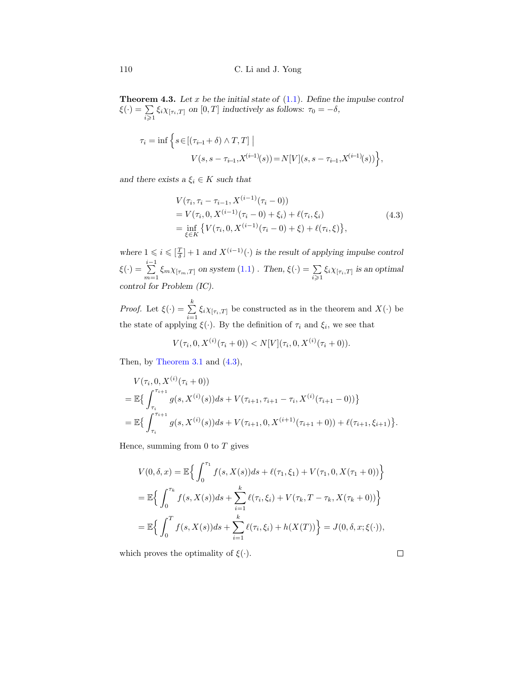**Theorem 4.3.** Let x be the initial state of  $(1.1)$ . Define the impulse control  $\xi(\cdot) = \sum$  $\sum_{i\geqslant 1} \xi_i \chi_{[\tau_i,T]}$  on  $[0,T]$  inductively as follows:  $\tau_0 = -\delta$ ,

$$
\tau_i = \inf \left\{ s \in [(\tau_{i-1} + \delta) \wedge T, T] \mid
$$
  
 
$$
V(s, s - \tau_{i-1}, X^{(i-1)}(s)) = N[V](s, s - \tau_{i-1}, X^{(i-1)}(s)) \right\},\,
$$

and there exists a  $\xi_i \in K$  such that

<span id="page-21-0"></span>
$$
V(\tau_i, \tau_i - \tau_{i-1}, X^{(i-1)}(\tau_i - 0))
$$
  
=  $V(\tau_i, 0, X^{(i-1)}(\tau_i - 0) + \xi_i) + \ell(\tau_i, \xi_i)$   
=  $\inf_{\xi \in K} \{ V(\tau_i, 0, X^{(i-1)}(\tau_i - 0) + \xi) + \ell(\tau_i, \xi) \},$  (4.3)

where  $1 \leq i \leq \left[\frac{T}{\delta}\right] + 1$  and  $X^{(i-1)}(\cdot)$  is the result of applying impulse control  $\xi(\cdot) = \sum_{i=1}^{i-1}$  $\sum_{m=1} \xi_m \chi_{[\tau_m,T]}$  on system  $(1.1)$ . Then,  $\xi(\cdot) = \sum_{i \geq 1} \xi_i \chi_{[\tau_i,T]}$  is an optimal control for Problem (IC).

*Proof.* Let  $\xi(\cdot) = \sum_{k=1}^{k}$  $\sum_{i=1} \xi_i \chi_{[\tau_i,T]}$  be constructed as in the theorem and  $X(\cdot)$  be the state of applying  $\xi(\cdot)$ . By the definition of  $\tau_i$  and  $\xi_i$ , we see that

$$
V(\tau_i, 0, X^{(i)}(\tau_i + 0)) < N[V](\tau_i, 0, X^{(i)}(\tau_i + 0)).
$$

Then, by [Theorem 3.1](#page-15-5) and [\(4.3\)](#page-21-0),

$$
V(\tau_i, 0, X^{(i)}(\tau_i + 0))
$$
  
=  $\mathbb{E}\left\{\int_{\tau_i}^{\tau_{i+1}} g(s, X^{(i)}(s))ds + V(\tau_{i+1}, \tau_{i+1} - \tau_i, X^{(i)}(\tau_{i+1} - 0))\right\}$   
=  $\mathbb{E}\left\{\int_{\tau_i}^{\tau_{i+1}} g(s, X^{(i)}(s))ds + V(\tau_{i+1}, 0, X^{(i+1)}(\tau_{i+1} + 0)) + \ell(\tau_{i+1}, \xi_{i+1})\right\}.$ 

Hence, summing from  $0$  to  $T$  gives

$$
V(0, \delta, x) = \mathbb{E}\Big\{\int_0^{\tau_1} f(s, X(s))ds + \ell(\tau_1, \xi_1) + V(\tau_1, 0, X(\tau_1 + 0))\Big\}
$$
  
=  $\mathbb{E}\Big\{\int_0^{\tau_k} f(s, X(s))ds + \sum_{i=1}^k \ell(\tau_i, \xi_i) + V(\tau_k, T - \tau_k, X(\tau_k + 0))\Big\}$   
=  $\mathbb{E}\Big\{\int_0^T f(s, X(s))ds + \sum_{i=1}^k \ell(\tau_i, \xi_i) + h(X(T))\Big\} = J(0, \delta, x; \xi(\cdot)),$ 

which proves the optimality of  $\xi(\cdot)$ .

 $\Box$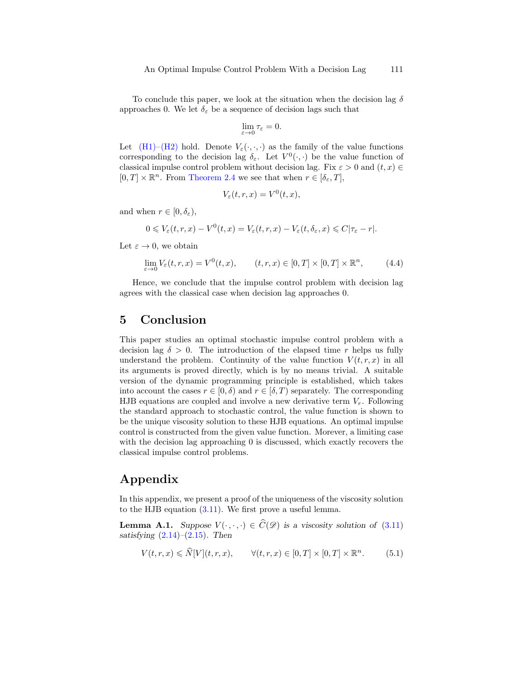To conclude this paper, we look at the situation when the decision lag  $\delta$ approaches 0. We let  $\delta_{\varepsilon}$  be a sequence of decision lags such that

$$
\lim_{\varepsilon \to 0} \tau_{\varepsilon} = 0.
$$

Let  $(H1)-(H2)$  $(H1)-(H2)$  hold. Denote  $V_{\varepsilon}(\cdot,\cdot,\cdot)$  as the family of the value functions corresponding to the decision lag  $\delta_{\varepsilon}$ . Let  $V^0(\cdot, \cdot)$  be the value function of classical impulse control problem without decision lag. Fix  $\varepsilon > 0$  and  $(t, x) \in$  $[0, T] \times \mathbb{R}^n$ . From [Theorem 2.4](#page-8-2) we see that when  $r \in [\delta_{\varepsilon}, T]$ ,

$$
V_{\varepsilon}(t,r,x) = V^{0}(t,x),
$$

and when  $r \in [0, \delta_{\varepsilon}),$ 

$$
0 \leq V_{\varepsilon}(t,r,x) - V^0(t,x) = V_{\varepsilon}(t,r,x) - V_{\varepsilon}(t,\delta_{\varepsilon},x) \leq C|\tau_{\varepsilon} - r|.
$$

Let  $\varepsilon \to 0$ , we obtain

$$
\lim_{\varepsilon \to 0} V_{\varepsilon}(t, r, x) = V^{0}(t, x), \qquad (t, r, x) \in [0, T] \times [0, T] \times \mathbb{R}^{n}, \tag{4.4}
$$

Hence, we conclude that the impulse control problem with decision lag agrees with the classical case when decision lag approaches 0.

### 5 Conclusion

This paper studies an optimal stochastic impulse control problem with a decision lag  $\delta > 0$ . The introduction of the elapsed time r helps us fully understand the problem. Continuity of the value function  $V(t, r, x)$  in all its arguments is proved directly, which is by no means trivial. A suitable version of the dynamic programming principle is established, which takes into account the cases  $r \in [0, \delta)$  and  $r \in [\delta, T)$  separately. The corresponding HJB equations are coupled and involve a new derivative term  $V_r$ . Following the standard approach to stochastic control, the value function is shown to be the unique viscosity solution to these HJB equations. An optimal impulse control is constructed from the given value function. Morever, a limiting case with the decision lag approaching 0 is discussed, which exactly recovers the classical impulse control problems.

## Appendix

In this appendix, we present a proof of the uniqueness of the viscosity solution to the HJB equation [\(3.11\)](#page-19-1). We first prove a useful lemma.

**Lemma A.1.** Suppose  $V(\cdot, \cdot, \cdot) \in \widehat{C}(\mathscr{D})$  is a viscosity solution of [\(3.11\)](#page-19-1) satisfying  $(2.14)$ – $(2.15)$ . Then

<span id="page-22-0"></span>
$$
V(t,r,x) \leq \widehat{N}[V](t,r,x), \qquad \forall (t,r,x) \in [0,T] \times [0,T] \times \mathbb{R}^n. \tag{5.1}
$$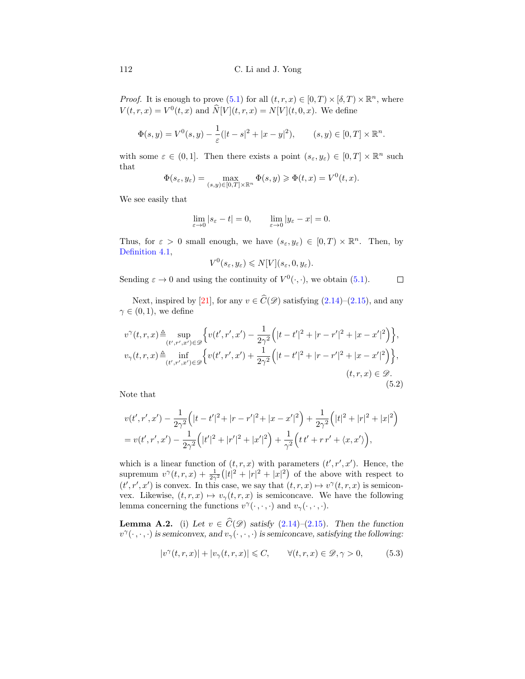*Proof.* It is enough to prove  $(5.1)$  for all  $(t, r, x) \in [0, T) \times [\delta, T) \times \mathbb{R}^n$ , where  $V(t, r, x) = V^{0}(t, x)$  and  $\hat{N}[V](t, r, x) = N[V](t, 0, x)$ . We define

$$
\Phi(s, y) = V^0(s, y) - \frac{1}{\varepsilon}(|t - s|^2 + |x - y|^2), \qquad (s, y) \in [0, T] \times \mathbb{R}^n.
$$

with some  $\varepsilon \in (0,1]$ . Then there exists a point  $(s_{\varepsilon}, y_{\varepsilon}) \in [0,T] \times \mathbb{R}^n$  such that

$$
\Phi(s_{\varepsilon}, y_{\varepsilon}) = \max_{(s,y) \in [0,T] \times \mathbb{R}^n} \Phi(s,y) \geq \Phi(t,x) = V^0(t,x).
$$

We see easily that

$$
\lim_{\varepsilon \to 0} |s_{\varepsilon} - t| = 0, \qquad \lim_{\varepsilon \to 0} |y_{\varepsilon} - x| = 0.
$$

Thus, for  $\varepsilon > 0$  small enough, we have  $(s_{\varepsilon}, y_{\varepsilon}) \in [0, T) \times \mathbb{R}^n$ . Then, by [Definition 4.1,](#page-20-1)

$$
V^0(s_{\varepsilon}, y_{\varepsilon}) \leqslant N[V](s_{\varepsilon}, 0, y_{\varepsilon}).
$$

Sending  $\varepsilon \to 0$  and using the continuity of  $V^0(\cdot, \cdot)$ , we obtain [\(5.1\)](#page-22-0).  $\Box$ 

Next, inspired by [\[21\]](#page-34-4), for any  $v \in \widehat{C}(\mathscr{D})$  satisfying [\(2.14\)](#page-8-0)–[\(2.15\)](#page-8-3), and any  $\gamma \in (0, 1)$ , we define

$$
v^{\gamma}(t,r,x) \triangleq \sup_{(t',r',x') \in \mathcal{D}} \left\{ v(t',r',x') - \frac{1}{2\gamma^2} \left( |t-t'|^2 + |r-r'|^2 + |x-x'|^2 \right) \right\},
$$
  
\n
$$
v_{\gamma}(t,r,x) \triangleq \inf_{(t',r',x') \in \mathcal{D}} \left\{ v(t',r',x') + \frac{1}{2\gamma^2} \left( |t-t'|^2 + |r-r'|^2 + |x-x'|^2 \right) \right\},
$$
  
\n
$$
(t,r,x) \in \mathcal{D}.
$$
  
\n(5.2)

Note that

$$
v(t',r',x') - \frac{1}{2\gamma^2} \Big( |t-t'|^2 + |r-r'|^2 + |x-x'|^2 \Big) + \frac{1}{2\gamma^2} \Big( |t|^2 + |r|^2 + |x|^2 \Big)
$$
  
=  $v(t',r',x') - \frac{1}{2\gamma^2} \Big( |t'|^2 + |r'|^2 + |x'|^2 \Big) + \frac{1}{\gamma^2} \Big( t t' + r r' + \langle x, x' \rangle \Big),$ 

which is a linear function of  $(t, r, x)$  with parameters  $(t', r', x')$ . Hence, the supremum  $v^{\gamma}(t,r,x) + \frac{1}{2\gamma^2} (|t|^2 + |r|^2 + |x|^2)$  of the above with respect to  $(t', r', x')$  is convex. In this case, we say that  $(t, r, x) \mapsto v^{\gamma}(t, r, x)$  is semiconvex. Likewise,  $(t, r, x) \mapsto v_\gamma(t, r, x)$  is semiconcave. We have the following lemma concerning the functions  $v^{\gamma}(\cdot, \cdot, \cdot)$  and  $v_{\gamma}(\cdot, \cdot, \cdot)$ .

**Lemma A.2.** (i) Let  $v \in \widehat{C}(\mathscr{D})$  satisfy [\(2.14\)](#page-8-0)–[\(2.15\)](#page-8-3). Then the function  $v^{\gamma}(\cdot,\cdot,\cdot)$  is semiconvex, and  $v_{\gamma}(\cdot,\cdot,\cdot)$  is semiconcave, satisfying the following:

<span id="page-23-0"></span>
$$
|v^{\gamma}(t,r,x)| + |v_{\gamma}(t,r,x)| \leq C, \qquad \forall (t,r,x) \in \mathcal{D}, \gamma > 0,
$$
 (5.3)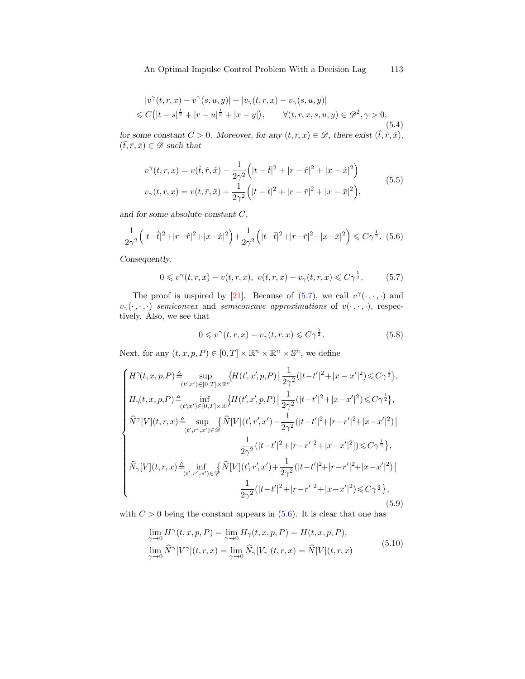<span id="page-24-4"></span>
$$
|v^{\gamma}(t,r,x) - v^{\gamma}(s,u,y)| + |v_{\gamma}(t,r,x) - v_{\gamma}(s,u,y)|
$$
  
\$\leq C(|t-s|^{\frac{1}{2}} + |r-u|^{\frac{1}{2}} + |x-y|, \qquad \forall (t,r,x,s,u,y) \in \mathcal{D}^{2}, \gamma > 0, \tag{5.4}

for some constant  $C > 0$ . Moreover, for any  $(t, r, x) \in \mathcal{D}$ , there exist  $(\hat{t}, \hat{r}, \hat{x})$ ,  $(\bar{t}, \bar{r}, \bar{x}) \in \mathscr{D}$  such that

<span id="page-24-2"></span>
$$
v^{\gamma}(t,r,x) = v(\hat{t},\hat{r},\hat{x}) - \frac{1}{2\gamma^2} \left( |t-\hat{t}|^2 + |r-\hat{r}|^2 + |x-\hat{x}|^2 \right)
$$
  

$$
v_{\gamma}(t,r,x) = v(\bar{t},\bar{r},\bar{x}) + \frac{1}{2\gamma^2} \left( |t-\bar{t}|^2 + |r-\bar{r}|^2 + |x-\bar{x}|^2 \right),
$$
 (5.5)

and for some absolute constant C,

<span id="page-24-1"></span>
$$
\frac{1}{2\gamma^2} \left( |t - \hat{t}|^2 + |r - \hat{r}|^2 + |x - \hat{x}|^2 \right) + \frac{1}{2\gamma^2} \left( |t - \bar{t}|^2 + |r - \bar{r}|^2 + |x - \bar{x}|^2 \right) \leq C\gamma^{\frac{1}{2}}.
$$
 (5.6)

Consequently,

<span id="page-24-0"></span>
$$
0 \leq v^{\gamma}(t,r,x) - v(t,r,x), \ v(t,r,x) - v_{\gamma}(t,r,x) \leq C\gamma^{\frac{1}{2}}.
$$
 (5.7)

The proof is inspired by [\[21\]](#page-34-4). Because of [\(5.7\)](#page-24-0), we call  $v^{\gamma}(\cdot,\cdot,\cdot)$  and  $v_{\gamma}(\cdot,\cdot,\cdot)$  semiconvex and semiconcave approximations of  $v(\cdot,\cdot,\cdot)$ , respectively. Also, we see that

<span id="page-24-5"></span>
$$
0 \leq v^{\gamma}(t, r, x) - v_{\gamma}(t, r, x) \leq C\gamma^{\frac{1}{2}}.
$$
\n
$$
(5.8)
$$

Next, for any  $(t, x, p, P) \in [0, T] \times \mathbb{R}^n \times \mathbb{R}^n \times \mathbb{S}^n$ , we define

<span id="page-24-3"></span>
$$
\begin{cases} H^{\gamma}(t,x,p,P) \triangleq \sup_{(t',x')\in[0,T]\times\mathbb{R}^n} \{H(t',x',p,P)\mid \frac{1}{2\gamma^2}(|t-t'|^2+|x-x'|^2) \leq C\gamma^{\frac{1}{2}}\},\\ H_{\gamma}(t,x,p,P) \triangleq \inf_{(t',x')\in[0,T]\times\mathbb{R}^n} \{H(t',x',p,P)\mid \frac{1}{2\gamma^2}(|t-t'|^2+|x-x'|^2) \leq C\gamma^{\frac{1}{2}}\},\\ \widehat{N}^{\gamma}[V](t,r,x) \triangleq \sup_{(t',r',x')\in\mathscr{D}} \{\widehat{N}[V](t',r',x') - \frac{1}{2\gamma^2}(|t-t'|^2+|r-r'|^2+|x-x'|^2)\} \\ \frac{1}{2\gamma^2}(|t-t'|^2+|r-r'|^2+|x-x'|^2]) \leq C\gamma^{\frac{1}{2}}\},\\ \widehat{N}_{\gamma}[V](t,r,x) \triangleq \inf_{(t',r',x')\in\mathscr{D}} \{\widehat{N}[V](t',r',x') + \frac{1}{2\gamma^2}(|t-t'|^2+|r-r'|^2+|x-x'|^2)\} \\ \frac{1}{2\gamma^2}(|t-t'|^2+|r-r'|^2+|x-x'|^2) \leq C\gamma^{\frac{1}{2}}\}, \end{cases} \tag{5.9}
$$

with  $C > 0$  being the constant appears in  $(5.6)$ . It is clear that one has

<span id="page-24-6"></span>
$$
\lim_{\gamma \to 0} H^{\gamma}(t, x, p, P) = \lim_{\gamma \to 0} H_{\gamma}(t, x, p, P) = H(t, x, p, P),
$$
\n
$$
\lim_{\gamma \to 0} \widehat{N}^{\gamma}[V^{\gamma}](t, r, x) = \lim_{\gamma \to 0} \widehat{N}_{\gamma}[V_{\gamma}](t, r, x) = \widehat{N}[V](t, r, x)
$$
\n(5.10)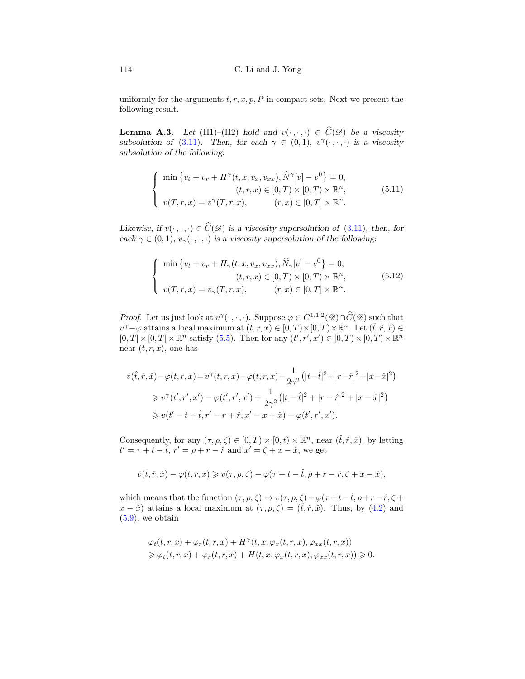uniformly for the arguments  $t, r, x, p, P$  in compact sets. Next we present the following result.

**Lemma A.3.** Let (H1)–(H2) hold and  $v(\cdot, \cdot, \cdot) \in C(\mathcal{D})$  be a viscosity subsolution of [\(3.11\)](#page-19-1). Then, for each  $\gamma \in (0,1)$ ,  $v^{\gamma}(\cdot, \cdot, \cdot)$  is a viscosity subsolution of the following:

<span id="page-25-0"></span>
$$
\begin{cases}\n\min \{v_t + v_r + H^\gamma(t, x, v_x, v_{xx}), \widehat{N}^\gamma[v] - v^0\} = 0, \\
(t, r, x) \in [0, T) \times [0, T) \times \mathbb{R}^n, \\
v(T, r, x) = v^\gamma(T, r, x), \\
(r, x) \in [0, T] \times \mathbb{R}^n.\n\end{cases} (5.11)
$$

Likewise, if  $v(\cdot, \cdot, \cdot) \in \widehat{C}(\mathscr{D})$  is a viscosity supersolution of [\(3.11\)](#page-19-1), then, for each  $\gamma \in (0,1)$ ,  $v_{\gamma}(\cdot,\cdot,\cdot)$  is a viscosity supersolution of the following:

<span id="page-25-1"></span>
$$
\begin{cases}\n\min \left\{ v_t + v_r + H_{\gamma}(t, x, v_x, v_{xx}), \hat{N}_{\gamma}[v] - v^0 \right\} = 0, \\
(t, r, x) \in [0, T) \times [0, T) \times \mathbb{R}^n, \\
v(T, r, x) = v_{\gamma}(T, r, x), \\
(r, x) \in [0, T] \times \mathbb{R}^n.\n\end{cases}
$$
\n(5.12)

*Proof.* Let us just look at  $v^{\gamma}(\cdot, \cdot, \cdot)$ . Suppose  $\varphi \in C^{1,1,2}(\mathscr{D}) \cap \widehat{C}(\mathscr{D})$  such that  $v^{\gamma}-\varphi$  attains a local maximum at  $(t, r, x) \in [0, T) \times [0, T) \times \mathbb{R}^{n}$ . Let  $(\hat{t}, \hat{r}, \hat{x}) \in$  $[0,T] \times [0,T] \times \mathbb{R}^n$  satisfy [\(5.5\)](#page-24-2). Then for any  $(t',r',x') \in [0,T) \times [0,T) \times \mathbb{R}^n$ near  $(t, r, x)$ , one has

$$
v(\hat{t}, \hat{r}, \hat{x}) - \varphi(t, r, x) = v^{\gamma}(t, r, x) - \varphi(t, r, x) + \frac{1}{2\gamma^{2}} (|t - \hat{t}|^{2} + |r - \hat{r}|^{2} + |x - \hat{x}|^{2})
$$
  
\n
$$
\geq v^{\gamma}(t', r', x') - \varphi(t', r', x') + \frac{1}{2\gamma^{2}} (|t - \hat{t}|^{2} + |r - \hat{r}|^{2} + |x - \hat{x}|^{2})
$$
  
\n
$$
\geq v(t' - t + \hat{t}, r' - r + \hat{r}, x' - x + \hat{x}) - \varphi(t', r', x').
$$

Consequently, for any  $(\tau, \rho, \zeta) \in [0, T) \times [0, t) \times \mathbb{R}^n$ , near  $(\hat{t}, \hat{r}, \hat{x})$ , by letting  $t' = \tau + t - \hat{t}$ ,  $r' = \rho + r - \hat{r}$  and  $x' = \zeta + x - \hat{x}$ , we get

$$
v(\widehat{t},\widehat{r},\widehat{x}) - \varphi(t,r,x) \geqslant v(\tau,\rho,\zeta) - \varphi(\tau+t-\widehat{t},\rho+r-\widehat{r},\zeta+x-\widehat{x}),
$$

which means that the function  $(\tau, \rho, \zeta) \mapsto v(\tau, \rho, \zeta)-\varphi(\tau+t-\hat{t}, \rho+r-\hat{r}, \zeta +\hat{r})$  $x - \hat{x}$  attains a local maximum at  $(\tau, \rho, \zeta) = (\hat{t}, \hat{r}, \hat{x})$ . Thus, by [\(4.2\)](#page-20-0) and  $(5.9)$ , we obtain

$$
\varphi_t(t,r,x) + \varphi_r(t,r,x) + H^\gamma(t,x,\varphi_x(t,r,x),\varphi_{xx}(t,r,x))
$$
  

$$
\geq \varphi_t(t,r,x) + \varphi_r(t,r,x) + H(t,x,\varphi_x(t,r,x),\varphi_{xx}(t,r,x)) \geq 0.
$$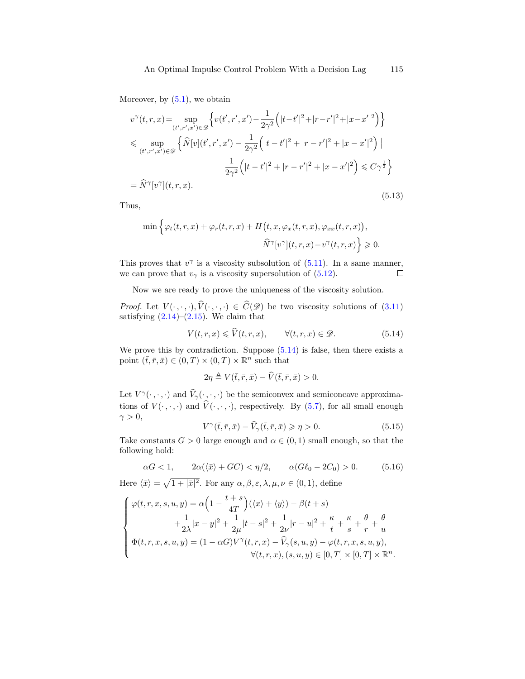Moreover, by  $(5.1)$ , we obtain

$$
v^{\gamma}(t,r,x) = \sup_{(t',r',x') \in \mathcal{D}} \left\{ v(t',r',x') - \frac{1}{2\gamma^2} \left( |t-t'|^2 + |r-r'|^2 + |x-x'|^2 \right) \right\}
$$
  
\$\leq \sup\_{(t',r',x') \in \mathcal{D}} \left\{ \widehat{N}[v](t',r',x') - \frac{1}{2\gamma^2} \left( |t-t'|^2 + |r-r'|^2 + |x-x'|^2 \right) \Big|   
\frac{1}{2\gamma^2} \left( |t-t'|^2 + |r-r'|^2 + |x-x'|^2 \right) \leq C\gamma^{\frac{1}{2}} \right\}  
= \widehat{N}^{\gamma}[v^{\gamma}](t,r,x). \tag{5.13}

Thus,

$$
\min \left\{ \varphi_t(t,r,x) + \varphi_r(t,r,x) + H\big(t,x,\varphi_x(t,r,x),\varphi_{xx}(t,r,x)\big),\right.\\ \left.\widehat{N}^{\gamma}[v^{\gamma}](t,r,x) - v^{\gamma}(t,r,x)\right\} \geqslant 0.
$$

This proves that  $v^{\gamma}$  is a viscosity subsolution of  $(5.11)$ . In a same manner, we can prove that  $v_{\gamma}$  is a viscosity supersolution of [\(5.12\)](#page-25-1).  $\Box$ 

Now we are ready to prove the uniqueness of the viscosity solution.

*Proof.* Let  $V(\cdot, \cdot, \cdot), \hat{V}(\cdot, \cdot, \cdot) \in \hat{C}(\mathscr{D})$  be two viscosity solutions of [\(3.11\)](#page-19-1) satisfying  $(2.14)$ – $(2.15)$ . We claim that

<span id="page-26-0"></span>
$$
V(t,r,x) \leqslant \widehat{V}(t,r,x), \qquad \forall (t,r,x) \in \mathcal{D}.
$$
 (5.14)

We prove this by contradiction. Suppose  $(5.14)$  is false, then there exists a point  $(\bar{t}, \bar{r}, \bar{x}) \in (0, T) \times (0, T) \times \mathbb{R}^n$  such that

$$
2\eta \triangleq V(\bar{t}, \bar{r}, \bar{x}) - \widehat{V}(\bar{t}, \bar{r}, \bar{x}) > 0.
$$

Let  $V^{\gamma}(\cdot, \cdot, \cdot)$  and  $\hat{V}_{\gamma}(\cdot, \cdot, \cdot)$  be the semiconvex and semiconcave approximations of  $V(\cdot, \cdot, \cdot)$  and  $V(\cdot, \cdot, \cdot)$ , respectively. By [\(5.7\)](#page-24-0), for all small enough  $\gamma > 0$ ,

$$
V^{\gamma}(\bar{t},\bar{r},\bar{x}) - \widehat{V}_{\gamma}(\bar{t},\bar{r},\bar{x}) \geqslant \eta > 0. \tag{5.15}
$$

Take constants  $G > 0$  large enough and  $\alpha \in (0, 1)$  small enough, so that the following hold:

<span id="page-26-1"></span>
$$
\alpha G < 1, \qquad 2\alpha(\langle \bar{x} \rangle + GC) < \eta/2, \qquad \alpha(G\ell_0 - 2C_0) > 0. \tag{5.16}
$$

Here  $\langle \bar{x} \rangle = \sqrt{1 + |\bar{x}|^2}$ . For any  $\alpha, \beta, \varepsilon, \lambda, \mu, \nu \in (0, 1)$ , define

$$
\begin{cases}\n\varphi(t, r, x, s, u, y) = \alpha \left( 1 - \frac{t + s}{4T} \right) (\langle x \rangle + \langle y \rangle) - \beta(t + s) \\
+ \frac{1}{2\lambda} |x - y|^2 + \frac{1}{2\mu} |t - s|^2 + \frac{1}{2\nu} |r - u|^2 + \frac{\kappa}{t} + \frac{\kappa}{s} + \frac{\theta}{r} + \frac{\theta}{u} \\
\Phi(t, r, x, s, u, y) = (1 - \alpha G) V^{\gamma}(t, r, x) - \widehat{V}_{\gamma}(s, u, y) - \varphi(t, r, x, s, u, y), \\
\forall (t, r, x), (s, u, y) \in [0, T] \times [0, T] \times \mathbb{R}^n.\n\end{cases}
$$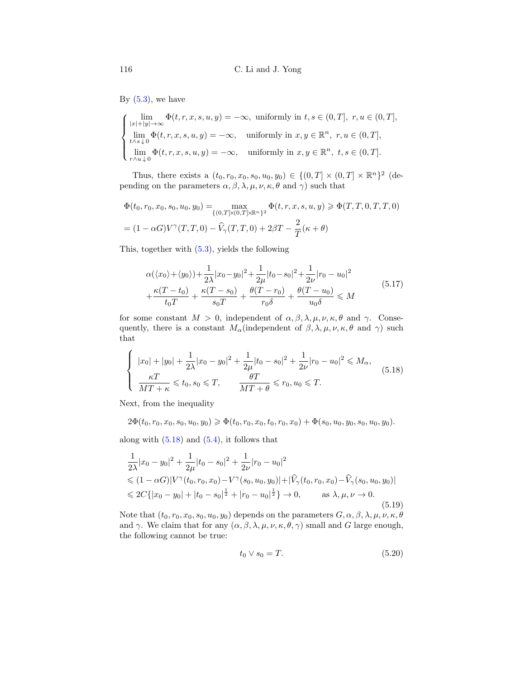By  $(5.3)$ , we have

$$
\begin{cases}\n\lim_{|x|+|y|\to\infty} \Phi(t,r,x,s,u,y) = -\infty, \text{ uniformly in } t,s \in (0,T], r,u \in (0,T],\\
\lim_{t\wedge s\downarrow 0} \Phi(t,r,x,s,u,y) = -\infty, \text{ uniformly in } x,y \in \mathbb{R}^n, r,u \in (0,T],\\
\lim_{r\wedge u\downarrow 0} \Phi(t,r,x,s,u,y) = -\infty, \text{ uniformly in } x,y \in \mathbb{R}^n, t,s \in (0,T].\n\end{cases}
$$

Thus, there exists a  $(t_0, r_0, x_0, s_0, u_0, y_0) \in \{(0, T] \times (0, T] \times \mathbb{R}^n\}^2$  (depending on the parameters  $\alpha$ ,  $\beta$ ,  $\lambda$ ,  $\mu$ ,  $\nu$ ,  $\kappa$ ,  $\theta$  and  $\gamma$ ) such that

$$
\Phi(t_0, r_0, x_0, s_0, u_0, y_0) = \max_{\{(0, T] \times (0, T] \times \mathbb{R}^n\}^2} \Phi(t, r, x, s, u, y) \ge \Phi(T, T, 0, T, T, 0)
$$
  
=  $(1 - \alpha G)V^{\gamma}(T, T, 0) - \widehat{V}_{\gamma}(T, T, 0) + 2\beta T - \frac{2}{T}(\kappa + \theta)$ 

This, together with [\(5.3\)](#page-23-0), yields the following

<span id="page-27-3"></span>
$$
\alpha(\langle x_0 \rangle + \langle y_0 \rangle) + \frac{1}{2\lambda} |x_0 - y_0|^2 + \frac{1}{2\mu} |t_0 - s_0|^2 + \frac{1}{2\nu} |r_0 - u_0|^2 + \frac{\kappa (T - t_0)}{t_0 T} + \frac{\kappa (T - s_0)}{s_0 T} + \frac{\theta (T - r_0)}{r_0 \delta} + \frac{\theta (T - u_0)}{u_0 \delta} \le M
$$
\n(5.17)

for some constant  $M > 0$ , independent of  $\alpha, \beta, \lambda, \mu, \nu, \kappa, \theta$  and  $\gamma$ . Consequently, there is a constant  $M_{\alpha}$ (independent of  $\beta, \lambda, \mu, \nu, \kappa, \theta$  and  $\gamma$ ) such that

<span id="page-27-0"></span>
$$
\begin{cases}\n|x_0| + |y_0| + \frac{1}{2\lambda}|x_0 - y_0|^2 + \frac{1}{2\mu}|t_0 - s_0|^2 + \frac{1}{2\nu}|r_0 - u_0|^2 \le M_\alpha, \\
\frac{\kappa T}{MT + \kappa} \le t_0, s_0 \le T, \qquad \frac{\theta T}{MT + \theta} \le r_0, u_0 \le T.\n\end{cases} (5.18)
$$

Next, from the inequality

$$
2\Phi(t_0, r_0, x_0, s_0, u_0, y_0) \geq \Phi(t_0, r_0, x_0, t_0, r_0, x_0) + \Phi(s_0, u_0, y_0, s_0, u_0, y_0).
$$

along with  $(5.18)$  and  $(5.4)$ , it follows that

<span id="page-27-1"></span>
$$
\frac{1}{2\lambda}|x_0 - y_0|^2 + \frac{1}{2\mu}|t_0 - s_0|^2 + \frac{1}{2\nu}|r_0 - u_0|^2
$$
  
\n
$$
\leq (1 - \alpha G)|V^{\gamma}(t_0, r_0, x_0) - V^{\gamma}(s_0, u_0, y_0)| + |\widehat{V}_{\gamma}(t_0, r_0, x_0) - \widehat{V}_{\gamma}(s_0, u_0, y_0)|
$$
  
\n
$$
\leq 2C\{|x_0 - y_0| + |t_0 - s_0|^{\frac{1}{2}} + |r_0 - u_0|^{\frac{1}{2}}\} \to 0, \qquad \text{as } \lambda, \mu, \nu \to 0.
$$
\n(5.19)

Note that  $(t_0, r_0, x_0, s_0, u_0, y_0)$  depends on the parameters  $G, \alpha, \beta, \lambda, \mu, \nu, \kappa, \theta$ and  $\gamma$ . We claim that for any  $(\alpha, \beta, \lambda, \mu, \nu, \kappa, \theta, \gamma)$  small and G large enough, the following cannot be true:

<span id="page-27-2"></span>
$$
t_0 \vee s_0 = T. \tag{5.20}
$$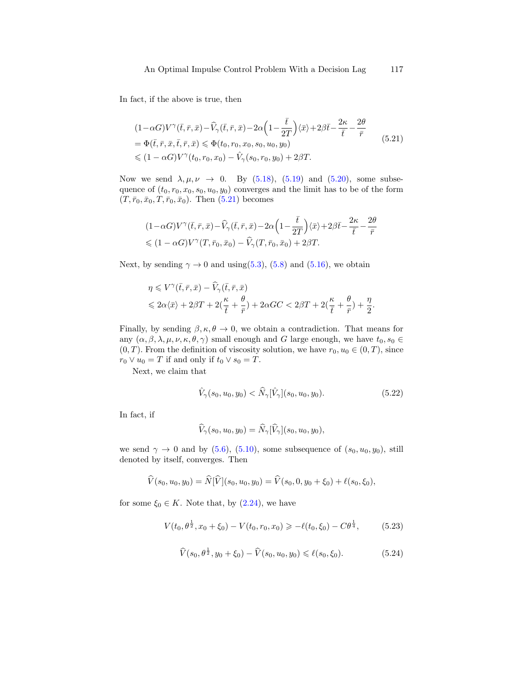In fact, if the above is true, then

<span id="page-28-0"></span>
$$
(1 - \alpha G)V^{\gamma}(\bar{t}, \bar{r}, \bar{x}) - \widehat{V}_{\gamma}(\bar{t}, \bar{r}, \bar{x}) - 2\alpha \left(1 - \frac{\bar{t}}{2T}\right) \langle \bar{x} \rangle + 2\beta \bar{t} - \frac{2\kappa}{\bar{t}} - \frac{2\theta}{\bar{r}}
$$
  
=  $\Phi(\bar{t}, \bar{r}, \bar{x}, \bar{t}, \bar{r}, \bar{x}) \le \Phi(t_0, r_0, x_0, s_0, u_0, y_0)$   
 $\le (1 - \alpha G)V^{\gamma}(t_0, r_0, x_0) - \widehat{V}_{\gamma}(s_0, r_0, y_0) + 2\beta T.$  (5.21)

Now we send  $\lambda, \mu, \nu \rightarrow 0$ . By [\(5.18\)](#page-27-0), [\(5.19\)](#page-27-1) and [\(5.20\)](#page-27-2), some subsequence of  $(t_0, r_0, x_0, s_0, u_0, y_0)$  converges and the limit has to be of the form  $(T, \bar{r}_0, \bar{x}_0, T, \bar{r}_0, \bar{x}_0)$ . Then [\(5.21\)](#page-28-0) becomes

$$
(1-\alpha G)V^{\gamma}(\bar{t},\bar{r},\bar{x})-\widehat{V}_{\gamma}(\bar{t},\bar{r},\bar{x})-2\alpha\Big(1-\frac{\bar{t}}{2T}\Big)\langle\bar{x}\rangle+2\beta\bar{t}-\frac{2\kappa}{\bar{t}}-\frac{2\theta}{\bar{r}}\leq (1-\alpha G)V^{\gamma}(T,\bar{r}_0,\bar{x}_0)-\widehat{V}_{\gamma}(T,\bar{r}_0,\bar{x}_0)+2\beta T.
$$

Next, by sending  $\gamma \rightarrow 0$  and using[\(5.3\)](#page-23-0), [\(5.8\)](#page-24-5) and [\(5.16\)](#page-26-1), we obtain

$$
\begin{split} &\eta \leqslant V^{\gamma}(\bar{t},\bar{r},\bar{x})-\widehat{V}_{\gamma}(\bar{t},\bar{r},\bar{x}) \\ &\leqslant 2\alpha \langle \bar{x} \rangle +2\beta T + 2(\frac{\kappa}{\bar{t}}+\frac{\theta}{\bar{r}})+2\alpha GC < 2\beta T + 2(\frac{\kappa}{\bar{t}}+\frac{\theta}{\bar{r}})+\frac{\eta}{2}. \end{split}
$$

Finally, by sending  $\beta, \kappa, \theta \to 0$ , we obtain a contradiction. That means for any  $(\alpha, \beta, \lambda, \mu, \nu, \kappa, \theta, \gamma)$  small enough and G large enough, we have  $t_0, s_0 \in$  $(0, T)$ . From the definition of viscosity solution, we have  $r_0, u_0 \in (0, T)$ , since  $r_0 \vee u_0 = T$  if and only if  $t_0 \vee s_0 = T$ .

Next, we claim that

<span id="page-28-3"></span>
$$
\hat{V}_{\gamma}(s_0, u_0, y_0) < \hat{N}_{\gamma}[\hat{V}_{\gamma}](s_0, u_0, y_0). \tag{5.22}
$$

In fact, if

$$
\widehat{V}_{\gamma}(s_0, u_0, y_0) = \widehat{N}_{\gamma}[\widehat{V}_{\gamma}](s_0, u_0, y_0),
$$

we send  $\gamma \to 0$  and by [\(5.6\)](#page-24-1), [\(5.10\)](#page-24-6), some subsequence of  $(s_0, u_0, y_0)$ , still denoted by itself, converges. Then

$$
\widehat{V}(s_0, u_0, y_0) = \widehat{N}[\widehat{V}](s_0, u_0, y_0) = \widehat{V}(s_0, 0, y_0 + \xi_0) + \ell(s_0, \xi_0),
$$

for some  $\xi_0 \in K$ . Note that, by  $(2.24)$ , we have

<span id="page-28-1"></span>
$$
V(t_0, \theta^{\frac{1}{2}}, x_0 + \xi_0) - V(t_0, r_0, x_0) \ge -\ell(t_0, \xi_0) - C\theta^{\frac{1}{4}},
$$
 (5.23)

<span id="page-28-2"></span>
$$
\widehat{V}(s_0, \theta^{\frac{1}{2}}, y_0 + \xi_0) - \widehat{V}(s_0, u_0, y_0) \leq \ell(s_0, \xi_0). \tag{5.24}
$$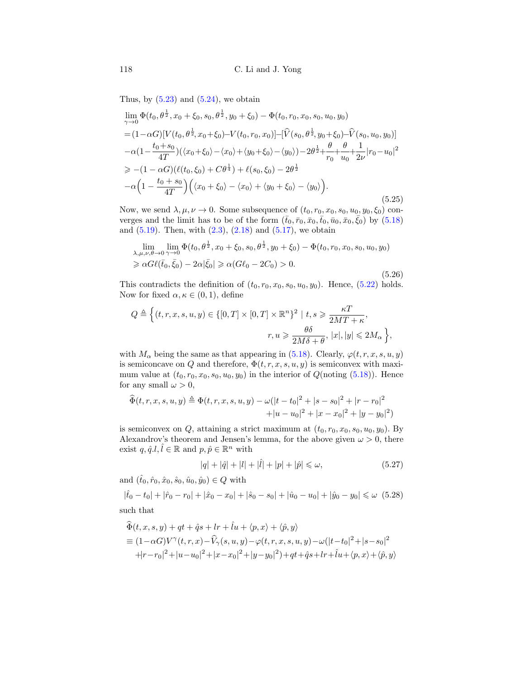Thus, by  $(5.23)$  and  $(5.24)$ , we obtain

$$
\lim_{\gamma \to 0} \Phi(t_0, \theta^{\frac{1}{2}}, x_0 + \xi_0, s_0, \theta^{\frac{1}{2}}, y_0 + \xi_0) - \Phi(t_0, r_0, x_0, s_0, u_0, y_0)
$$
\n
$$
= (1 - \alpha G)[V(t_0, \theta^{\frac{1}{2}}, x_0 + \xi_0) - V(t_0, r_0, x_0)] - [\hat{V}(s_0, \theta^{\frac{1}{2}}, y_0 + \xi_0) - \hat{V}(s_0, u_0, y_0)]
$$
\n
$$
- \alpha (1 - \frac{t_0 + s_0}{4T}) (\langle x_0 + \xi_0 \rangle - \langle x_0 \rangle + \langle y_0 + \xi_0 \rangle - \langle y_0 \rangle) - 2\theta^{\frac{1}{2}} + \frac{\theta}{r_0} + \frac{\theta}{u_0} + \frac{1}{2\nu} |r_0 - u_0|^2
$$
\n
$$
\geq -(1 - \alpha G)(\ell(t_0, \xi_0) + C\theta^{\frac{1}{4}}) + \ell(s_0, \xi_0) - 2\theta^{\frac{1}{2}}
$$
\n
$$
- \alpha \left(1 - \frac{t_0 + s_0}{4T}\right) \left(\langle x_0 + \xi_0 \rangle - \langle x_0 \rangle + \langle y_0 + \xi_0 \rangle - \langle y_0 \rangle\right).
$$
\n(5.25)

Now, we send  $\lambda, \mu, \nu \to 0$ . Some subsequence of  $(t_0, r_0, x_0, s_0, u_0, y_0, \xi_0)$  converges and the limit has to be of the form  $(\bar{t}_0, \bar{r}_0, \bar{x}_0, \bar{t}_0, \bar{u}_0, \bar{x}_0, \bar{\xi}_0)$  by  $(5.18)$ and  $(5.19)$ . Then, with  $(2.3)$ ,  $(2.18)$  and  $(5.17)$ , we obtain

$$
\lim_{\lambda,\mu,\nu,\theta\to 0} \lim_{\gamma\to 0} \Phi(t_0, \theta^{\frac{1}{2}}, x_0 + \xi_0, s_0, \theta^{\frac{1}{2}}, y_0 + \xi_0) - \Phi(t_0, r_0, x_0, s_0, u_0, y_0) \geq \alpha G\ell(\bar{t}_0, \bar{\xi}_0) - 2\alpha |\bar{\xi}_0| \geq \alpha (G\ell_0 - 2C_0) > 0.
$$
\n(5.26)

This contradicts the definition of  $(t_0, r_0, x_0, s_0, u_0, y_0)$ . Hence,  $(5.22)$  holds. Now for fixed  $\alpha, \kappa \in (0, 1)$ , define

$$
Q \triangleq \Big\{ (t, r, x, s, u, y) \in \{[0, T] \times [0, T] \times \mathbb{R}^n\}^2 \mid t, s \geqslant \frac{\kappa T}{2MT + \kappa},
$$
  

$$
r, u \geqslant \frac{\theta \delta}{2M\delta + \theta}, \ |x|, |y| \leqslant 2M_\alpha \Big\},
$$

with  $M_{\alpha}$  being the same as that appearing in [\(5.18\)](#page-27-0). Clearly,  $\varphi(t, r, x, s, u, y)$ is semiconcave on Q and therefore,  $\Phi(t, r, x, s, u, y)$  is semiconvex with maximum value at  $(t_0, r_0, x_0, s_0, u_0, y_0)$  in the interior of  $Q(\text{noting } (5.18))$  $Q(\text{noting } (5.18))$  $Q(\text{noting } (5.18))$ . Hence for any small  $\omega > 0$ ,

$$
\widehat{\Phi}(t, r, x, s, u, y) \triangleq \Phi(t, r, x, s, u, y) - \omega(|t - t_0|^2 + |s - s_0|^2 + |r - r_0|^2 + |u - u_0|^2 + |x - x_0|^2 + |y - y_0|^2)
$$

is semiconvex on  $Q$ , attaining a strict maximum at  $(t_0, r_0, x_0, s_0, u_0, y_0)$ . By Alexandrov's theorem and Jensen's lemma, for the above given  $\omega > 0$ , there exist  $q, \hat{q} \ldotp l, \hat{l} \in \mathbb{R}$  and  $p, \hat{p} \in \mathbb{R}^n$  with

<span id="page-29-0"></span>
$$
|q| + |\hat{q}| + |l| + |\hat{l}| + |p| + |\hat{p}| \leq \omega,
$$
\n(5.27)

and  $(\hat{t}_0, \hat{r}_0, \hat{x}_0, \hat{s}_0, \hat{u}_0, \hat{y}_0) \in Q$  with

<span id="page-29-1"></span>
$$
|\hat{t}_0 - t_0| + |\hat{r}_0 - r_0| + |\hat{x}_0 - x_0| + |\hat{s}_0 - s_0| + |\hat{u}_0 - u_0| + |\hat{y}_0 - y_0| \le \omega \tag{5.28}
$$

such that

$$
\begin{aligned}\n\widehat{\Phi}(t, x, s, y) + qt + \widehat{q}s + lr + \widehat{l}u + \langle p, x \rangle + \langle \widehat{p}, y \rangle \\
&= (1 - \alpha G)V^{\gamma}(t, r, x) - \widehat{V}_{\gamma}(s, u, y) - \varphi(t, r, x, s, u, y) - \omega(|t - t_0|^2 + |s - s_0|^2) \\
&\quad + |r - r_0|^2 + |u - u_0|^2 + |x - x_0|^2 + |y - y_0|^2) + qt + \widehat{q}s + lr + \widehat{l}u + \langle p, x \rangle + \langle \widehat{p}, y \rangle\n\end{aligned}
$$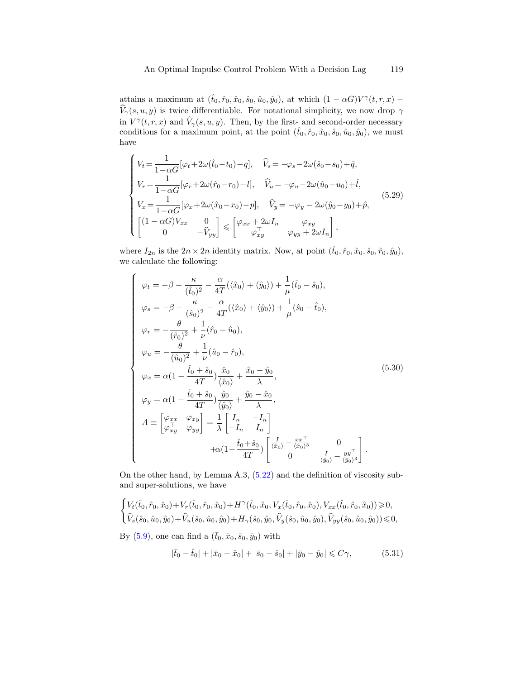attains a maximum at  $(\hat{t}_0, \hat{r}_0, \hat{x}_0, \hat{s}_0, \hat{u}_0, \hat{y}_0)$ , at which  $(1 - \alpha G)V^{\gamma}(t, r, x)$  –  $\widehat{V}_\gamma(s,u,y)$  is twice differentiable. For notational simplicity, we now drop  $\gamma$ in  $V^{\gamma}(t, r, x)$  and  $\hat{V}_{\gamma}(s, u, y)$ . Then, by the first- and second-order necessary conditions for a maximum point, at the point  $(\hat{t}_0, \hat{r}_0, \hat{x}_0, \hat{s}_0, \hat{u}_0, \hat{y}_0)$ , we must have

<span id="page-30-2"></span>
$$
\begin{cases}\nV_t = \frac{1}{1 - \alpha G} [\varphi_t + 2\omega(\hat{t}_0 - t_0) - q], & \hat{V}_s = -\varphi_s - 2\omega(\hat{s}_0 - s_0) + \hat{q}, \\
V_r = \frac{1}{1 - \alpha G} [\varphi_r + 2\omega(\hat{r}_0 - r_0) - l], & \hat{V}_u = -\varphi_u - 2\omega(\hat{u}_0 - u_0) + \hat{l}, \\
V_x = \frac{1}{1 - \alpha G} [\varphi_x + 2\omega(\hat{x}_0 - x_0) - p], & \hat{V}_y = -\varphi_y - 2\omega(\hat{y}_0 - y_0) + \hat{p}, \\
\begin{bmatrix}\n(1 - \alpha G)V_{xx} & 0 \\
0 & -\hat{V}_{yy}\n\end{bmatrix} \leq \begin{bmatrix}\n\varphi_{xx} + 2\omega I_n & \varphi_{xy} \\
\varphi_{xy}^{\top} & \varphi_{yy} + 2\omega I_n\n\end{bmatrix},\n\end{cases} (5.29)
$$

where  $I_{2n}$  is the  $2n \times 2n$  identity matrix. Now, at point  $(\hat{t}_0, \hat{r}_0, \hat{x}_0, \hat{s}_0, \hat{r}_0, \hat{y}_0)$ , we calculate the following:

<span id="page-30-0"></span>
$$
\begin{cases}\n\varphi_t = -\beta - \frac{\kappa}{(\hat{t}_0)^2} - \frac{\alpha}{4T} (\langle \hat{x}_0 \rangle + \langle \hat{y}_0 \rangle) + \frac{1}{\mu} (\hat{t}_0 - \hat{s}_0), \\
\varphi_s = -\beta - \frac{\kappa}{(\hat{s}_0)^2} - \frac{\alpha}{4T} (\langle \hat{x}_0 \rangle + \langle \hat{y}_0 \rangle) + \frac{1}{\mu} (\hat{s}_0 - \hat{t}_0), \\
\varphi_r = -\frac{\theta}{(\hat{r}_0)^2} + \frac{1}{\nu} (\hat{r}_0 - \hat{u}_0), \\
\varphi_u = -\frac{\theta}{(\hat{u}_0)^2} + \frac{1}{\nu} (\hat{u}_0 - \hat{r}_0), \\
\varphi_x = \alpha (1 - \frac{\hat{t}_0 + \hat{s}_0}{4T}) \frac{\hat{x}_0}{\langle \hat{x}_0 \rangle} + \frac{\hat{x}_0 - \hat{y}_0}{\lambda}, \\
\varphi_y = \alpha (1 - \frac{\hat{t}_0 + \hat{s}_0}{4T}) \frac{\hat{y}_0}{\langle \hat{y}_0 \rangle} + \frac{\hat{y}_0 - \hat{x}_0}{\lambda}, \\
A \equiv \begin{bmatrix}\n\varphi_{xx} & \varphi_{xy} \\
\varphi_{xy}^T & \varphi_{yy}\n\end{bmatrix} = \frac{1}{\lambda} \begin{bmatrix}\nI_n & -I_n \\
-I_n & I_n\n\end{bmatrix} \\
+ \alpha (1 - \frac{\hat{t}_0 + \hat{s}_0}{4T}) \begin{bmatrix}\n\frac{I}{\langle \hat{x}_0 \rangle} - \frac{x x^T}{\langle \hat{x}_0 \rangle^3} & 0 \\
0 & \frac{I}{\langle \hat{y}_0 \rangle} - \frac{y y^T}{\langle \hat{y}_0 \rangle^3}\n\end{cases}.\n\end{cases} (5.30)
$$

On the other hand, by Lemma A.3, [\(5.22\)](#page-28-3) and the definition of viscosity suband super-solutions, we have

$$
\begin{cases} V_t(\hat{t}_0, \hat{r}_0, \hat{x}_0) + V_r(\hat{t}_0, \hat{r}_0, \hat{x}_0) + H^\gamma(\hat{t}_0, \hat{x}_0, V_x(\hat{t}_0, \hat{r}_0, \hat{x}_0), V_{xx}(\hat{t}_0, \hat{r}_0, \hat{x}_0)) \geqslant 0, \\ \hat{V}_s(\hat{s}_0, \hat{u}_0, \hat{y}_0) + \hat{V}_u(\hat{s}_0, \hat{u}_0, \hat{y}_0) + H_\gamma(\hat{s}_0, \hat{y}_0, \hat{V}_y(\hat{s}_0, \hat{u}_0, \hat{y}_0), \hat{V}_{yy}(\hat{s}_0, \hat{u}_0, \hat{y}_0)) \leqslant 0, \end{cases}
$$

By [\(5.9\)](#page-24-3), one can find a  $(\bar{t}_0, \bar{x}_0, \bar{s}_0, \bar{y}_0)$  with

<span id="page-30-1"></span>
$$
|\bar{t}_0 - \hat{t}_0| + |\bar{x}_0 - \hat{x}_0| + |\bar{s}_0 - \hat{s}_0| + |\bar{y}_0 - \hat{y}_0| \leq C\gamma,
$$
 (5.31)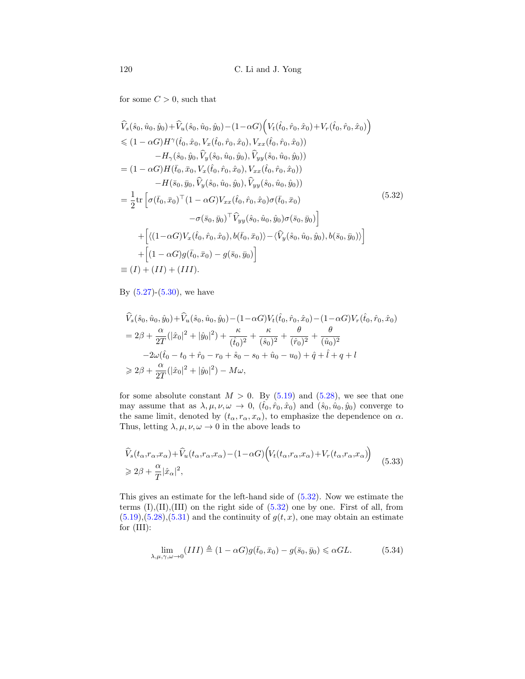for some  $C > 0$ , such that

<span id="page-31-0"></span>
$$
\hat{V}_{s}(\hat{s}_{0}, \hat{u}_{0}, \hat{y}_{0}) + \hat{V}_{u}(\hat{s}_{0}, \hat{u}_{0}, \hat{y}_{0}) - (1 - \alpha G) \Big( V_{t}(\hat{t}_{0}, \hat{r}_{0}, \hat{x}_{0}) + V_{r}(\hat{t}_{0}, \hat{r}_{0}, \hat{x}_{0}) \Big) \n\leq (1 - \alpha G) H^{\gamma}(\hat{t}_{0}, \hat{x}_{0}, V_{x}(\hat{t}_{0}, \hat{r}_{0}, \hat{x}_{0}), V_{xx}(\hat{t}_{0}, \hat{r}_{0}, \hat{x}_{0})) \n- H_{\gamma}(\hat{s}_{0}, \hat{y}_{0}, \hat{V}_{y}(\hat{s}_{0}, \hat{u}_{0}, \hat{y}_{0}), \hat{V}_{yy}(\hat{s}_{0}, \hat{u}_{0}, \hat{y}_{0})) \n= (1 - \alpha G) H(\bar{t}_{0}, \bar{x}_{0}, V_{x}(\hat{t}_{0}, \hat{r}_{0}, \hat{x}_{0}), V_{xx}(\hat{t}_{0}, \hat{r}_{0}, \hat{x}_{0})) \n- H(\bar{s}_{0}, \bar{y}_{0}, \hat{V}_{y}(\hat{s}_{0}, \hat{u}_{0}, \hat{y}_{0}), \hat{V}_{yy}(\hat{s}_{0}, \hat{u}_{0}, \hat{y}_{0})) \n= \frac{1}{2} \text{tr} \Big[ \sigma(\bar{t}_{0}, \bar{x}_{0})^{\top} (1 - \alpha G) V_{xx}(\hat{t}_{0}, \hat{r}_{0}, \hat{x}_{0}) \sigma(\bar{t}_{0}, \bar{x}_{0}) - \sigma(\bar{s}_{0}, \bar{y}_{0})^{\top} \hat{V}_{yy}(\hat{s}_{0}, \hat{u}_{0}, \hat{y}_{0}) \sigma(\bar{s}_{0}, \bar{y}_{0}) \Big] \n+ \Big[ \langle (1 - \alpha G) V_{x}(\hat{t}_{0}, \hat{r}_{0}, \hat{x}_{0}), b(\bar{t}_{0}, \bar{x}_{0}) \rangle - \langle \hat{V}_{y}(\hat{s}_{0}, \hat{u}_{0}, \hat{y}_{0}), b(\bar{s}_{0}, \bar{y}_{0}) \rangle \Big] \n+ \Big[ (1 - \alpha G) g(\bar{t}_{0}, \bar{x}_{0}) - g(\bar{s}_{0}, \bar{y}_{0}) \Big] \n= (I) + (II) + (III).
$$

By  $(5.27)$ - $(5.30)$ , we have

$$
\hat{V}_s(\hat{s}_0, \hat{u}_0, \hat{y}_0) + \hat{V}_u(\hat{s}_0, \hat{u}_0, \hat{y}_0) - (1 - \alpha G)V_t(\hat{t}_0, \hat{r}_0, \hat{x}_0) - (1 - \alpha G)V_r(\hat{t}_0, \hat{r}_0, \hat{x}_0)
$$
\n
$$
= 2\beta + \frac{\alpha}{2T}(|\hat{x}_0|^2 + |\hat{y}_0|^2) + \frac{\kappa}{(\hat{t}_0)^2} + \frac{\kappa}{(\hat{s}_0)^2} + \frac{\theta}{(\hat{r}_0)^2} + \frac{\theta}{(\hat{u}_0)^2}
$$
\n
$$
-2\omega(\hat{t}_0 - t_0 + \hat{r}_0 - r_0 + \hat{s}_0 - s_0 + \hat{u}_0 - u_0) + \hat{q} + \hat{l} + q + l
$$
\n
$$
\geq 2\beta + \frac{\alpha}{2T}(|\hat{x}_0|^2 + |\hat{y}_0|^2) - M\omega,
$$

for some absolute constant  $M > 0$ . By [\(5.19\)](#page-27-1) and [\(5.28\)](#page-29-1), we see that one may assume that as  $\lambda, \mu, \nu, \omega \to 0$ ,  $(\hat{t}_0, \hat{r}_0, \hat{x}_0)$  and  $(\hat{s}_0, \hat{u}_0, \hat{y}_0)$  converge to the same limit, denoted by  $(t_{\alpha}, r_{\alpha}, x_{\alpha})$ , to emphasize the dependence on  $\alpha$ . Thus, letting  $\lambda, \mu, \nu, \omega \rightarrow 0$  in the above leads to

$$
\begin{split} &\widehat{V}_s(t_\alpha, r_\alpha, x_\alpha) + \widehat{V}_u(t_\alpha, r_\alpha, x_\alpha) - (1 - \alpha G) \Big( V_t(t_\alpha, r_\alpha, x_\alpha) + V_r(t_\alpha, r_\alpha, x_\alpha) \Big) \\ &\geq 2\beta + \frac{\alpha}{T} |\hat{x}_\alpha|^2, \end{split} \tag{5.33}
$$

This gives an estimate for the left-hand side of [\(5.32\)](#page-31-0). Now we estimate the terms  $(I), (II), (III)$  on the right side of  $(5.32)$  one by one. First of all, from  $(5.19), (5.28), (5.31)$  $(5.19), (5.28), (5.31)$  $(5.19), (5.28), (5.31)$  $(5.19), (5.28), (5.31)$  $(5.19), (5.28), (5.31)$  and the continuity of  $g(t, x)$ , one may obtain an estimate for (III):

$$
\lim_{\lambda,\mu,\gamma,\omega \to 0} (III) \triangleq (1 - \alpha G) g(\bar{t}_0, \bar{x}_0) - g(\bar{s}_0, \bar{y}_0) \leq \alpha GL.
$$
 (5.34)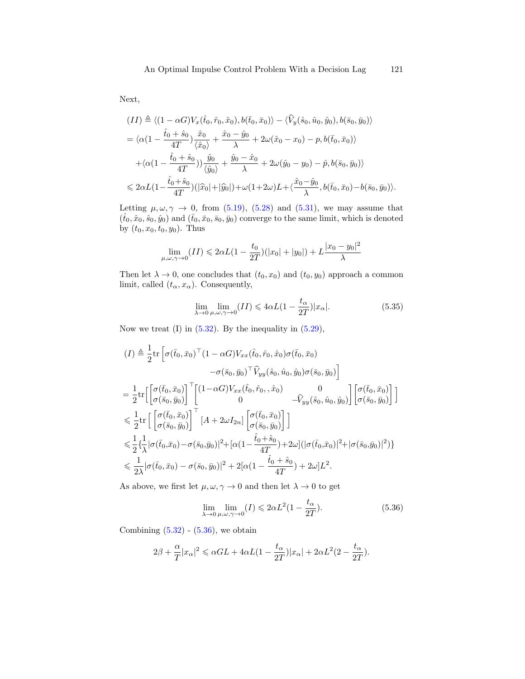Next,

$$
(II) \triangleq \langle (1 - \alpha G) V_x(\hat{t}_0, \hat{r}_0, \hat{x}_0), b(\bar{t}_0, \bar{x}_0) \rangle - \langle \hat{V}_y(\hat{s}_0, \hat{u}_0, \hat{y}_0), b(\bar{s}_0, \bar{y}_0) \rangle
$$
  
\n
$$
= \langle \alpha (1 - \frac{\hat{t}_0 + \hat{s}_0}{4T}) \frac{\hat{x}_0}{\langle \hat{x}_0 \rangle} + \frac{\hat{x}_0 - \hat{y}_0}{\lambda} + 2\omega(\hat{x}_0 - x_0) - p, b(\bar{t}_0, \bar{x}_0) \rangle
$$
  
\n
$$
+ \langle \alpha (1 - \frac{\hat{t}_0 + \hat{s}_0}{4T}) \rangle \frac{\hat{y}_0}{\langle \hat{y}_0 \rangle} + \frac{\hat{y}_0 - \hat{x}_0}{\lambda} + 2\omega(\hat{y}_0 - y_0) - \hat{p}, b(\bar{s}_0, \bar{y}_0) \rangle
$$
  
\n
$$
\leq 2\alpha L (1 - \frac{\hat{t}_0 + \hat{s}_0}{4T}) (\vert \hat{x}_0 \vert + \vert \hat{y}_0 \vert) + \omega (1 + 2\omega) L + \langle \frac{\hat{x}_0 - \hat{y}_0}{\lambda}, b(\bar{t}_0, \bar{x}_0) - b(\bar{s}_0, \bar{y}_0) \rangle.
$$

Letting  $\mu, \omega, \gamma \rightarrow 0$ , from [\(5.19\)](#page-27-1), [\(5.28\)](#page-29-1) and [\(5.31\)](#page-30-1), we may assume that  $(\hat{t}_0, \hat{x}_0, \hat{s}_0, \hat{y}_0)$  and  $(\bar{t}_0, \bar{x}_0, \bar{s}_0, \bar{y}_0)$  converge to the same limit, which is denoted by  $(t_0, x_0, t_0, y_0)$ . Thus

$$
\lim_{\mu,\omega,\gamma \to 0} (II) \leq 2\alpha L(1 - \frac{t_0}{2T}) (|x_0| + |y_0|) + L \frac{|x_0 - y_0|^2}{\lambda}
$$

Then let  $\lambda \to 0$ , one concludes that  $(t_0, x_0)$  and  $(t_0, y_0)$  approach a common limit, called  $(t_{\alpha}, x_{\alpha})$ . Consequently,

$$
\lim_{\lambda \to 0} \lim_{\mu, \omega, \gamma \to 0} (II) \leq 4\alpha L (1 - \frac{t_{\alpha}}{2T}) |x_{\alpha}|. \tag{5.35}
$$

Now we treat  $(I)$  in  $(5.32)$ . By the inequality in  $(5.29)$ ,

$$
(I) \triangleq \frac{1}{2} \text{tr} \left[ \sigma(\bar{t}_0, \bar{x}_0)^\top (1 - \alpha G) V_{xx}(\hat{t}_0, \hat{r}_0, \hat{x}_0) \sigma(\bar{t}_0, \bar{x}_0) - \sigma(\bar{s}_0, \bar{y}_0)^\top \hat{V}_{yy}(\hat{s}_0, \hat{u}_0, \hat{y}_0) \sigma(\bar{s}_0, \bar{y}_0) \right]
$$
  
\n
$$
= \frac{1}{2} \text{tr} \left[ \begin{bmatrix} \sigma(\bar{t}_0, \bar{x}_0) \\ \sigma(\bar{s}_0, \bar{y}_0) \end{bmatrix}^\top \begin{bmatrix} (1 - \alpha G) V_{xx}(\hat{t}_0, \hat{r}_0, \hat{x}_0) & 0 \\ 0 & -\hat{V}_{yy}(\hat{s}_0, \hat{u}_0, \hat{y}_0) \end{bmatrix} \begin{bmatrix} \sigma(\bar{t}_0, \bar{x}_0) \\ \sigma(\bar{s}_0, \bar{y}_0) \end{bmatrix} \right]
$$
  
\n
$$
\leq \frac{1}{2} \text{tr} \left[ \begin{bmatrix} \sigma(\bar{t}_0, \bar{x}_0) \\ \sigma(\bar{s}_0, \bar{y}_0) \end{bmatrix}^\top \begin{bmatrix} A + 2\omega I_{2n} \end{bmatrix} \begin{bmatrix} \sigma(\bar{t}_0, \bar{x}_0) \\ \sigma(\bar{s}_0, \bar{y}_0) \end{bmatrix} \right]
$$
  
\n
$$
\leq \frac{1}{2} \left\{ \frac{1}{\lambda} |\sigma(\bar{t}_0, \bar{x}_0) - \sigma(\bar{s}_0, \bar{y}_0)|^2 + [\alpha(1 - \frac{\hat{t}_0 + \hat{s}_0}{4T}) + 2\omega] (|\sigma(\bar{t}_0, \bar{x}_0)|^2 + |\sigma(\bar{s}_0, \bar{y}_0)|^2) \right\}
$$
  
\n
$$
\leq \frac{1}{2\lambda} |\sigma(\bar{t}_0, \bar{x}_0) - \sigma(\bar{s}_0, \bar{y}_0)|^2 + 2[\alpha(1 - \frac{\hat{t}_0 + \hat{s}_0}{4T}) + 2\omega] L^2.
$$

As above, we first let  $\mu, \omega, \gamma \to 0$  and then let  $\lambda \to 0$  to get

<span id="page-32-0"></span>
$$
\lim_{\lambda \to 0} \lim_{\mu, \omega, \gamma \to 0} (I) \leq 2\alpha L^2 (1 - \frac{t_{\alpha}}{2T}).
$$
\n(5.36)

Combining  $(5.32)$  -  $(5.36)$ , we obtain

$$
2\beta + \frac{\alpha}{T}|x_{\alpha}|^2 \leq \alpha GL + 4\alpha L(1 - \frac{t_{\alpha}}{2T})|x_{\alpha}| + 2\alpha L^2(2 - \frac{t_{\alpha}}{2T}).
$$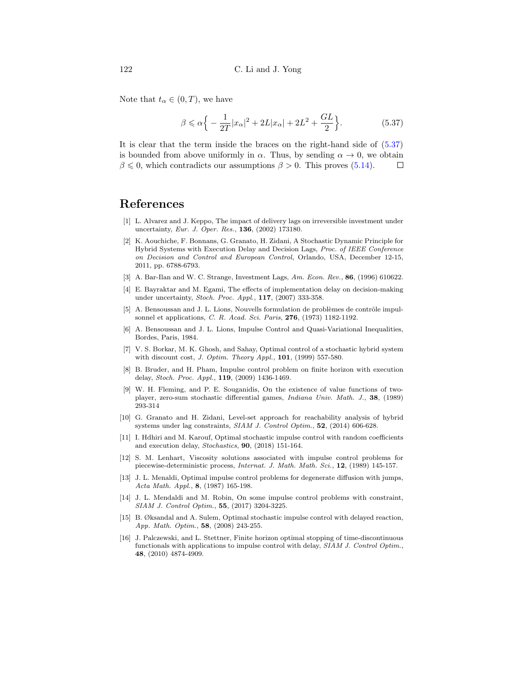Note that  $t_{\alpha} \in (0, T)$ , we have

<span id="page-33-16"></span>
$$
\beta \leqslant \alpha \Big\{ -\frac{1}{2T} |x_{\alpha}|^2 + 2L|x_{\alpha}| + 2L^2 + \frac{GL}{2} \Big\}.
$$
 (5.37)

It is clear that the term inside the braces on the right-hand side of [\(5.37\)](#page-33-16) is bounded from above uniformly in  $\alpha$ . Thus, by sending  $\alpha \to 0$ , we obtain  $\beta \leq 0$ , which contradicts our assumptions  $\beta > 0$ . This proves [\(5.14\)](#page-26-0).  $\Box$ 

## References

- <span id="page-33-4"></span>[1] L. Alvarez and J. Keppo, The impact of delivery lags on irreversible investment under uncertainty, Eur. J. Oper. Res., 136, (2002) 173180.
- <span id="page-33-1"></span>[2] K. Aouchiche, F. Bonnans, G. Granato, H. Zidani, A Stochastic Dynamic Principle for Hybrid Systems with Execution Delay and Decision Lags, Proc. of IEEE Conference on Decision and Control and European Control, Orlando, USA, December 12-15, 2011, pp. 6788-6793.
- <span id="page-33-3"></span>[3] A. Bar-Ilan and W. C. Strange, Investment Lags, Am. Econ. Rev., 86, (1996) 610622.
- <span id="page-33-2"></span>[4] E. Bayraktar and M. Egami, The effects of implementation delay on decision-making under uncertainty, Stoch. Proc. Appl., 117, (2007) 333-358.
- <span id="page-33-5"></span>[5] A. Bensoussan and J. L. Lions, Nouvells formulation de problèmes de contrôle impulsonnel et applications, C. R. Acad. Sci. Paris, 276, (1973) 1182-1192.
- <span id="page-33-0"></span>[6] A. Bensoussan and J. L. Lions, Impulse Control and Quasi-Variational Inequalities, Bordes, Paris, 1984.
- <span id="page-33-8"></span>[7] V. S. Borkar, M. K. Ghosh, and Sahay, Optimal control of a stochastic hybrid system with discount cost, J. Optim. Theory Appl., 101, (1999) 557-580.
- <span id="page-33-10"></span>[8] B. Bruder, and H. Pham, Impulse control problem on finite horizon with execution delay, Stoch. Proc. Appl., 119, (2009) 1436-1469.
- <span id="page-33-15"></span>[9] W. H. Fleming, and P. E. Souganidis, On the existence of value functions of twoplayer, zero-sum stochastic differential games, Indiana Univ. Math. J., 38, (1989) 293-314
- <span id="page-33-12"></span>[10] G. Granato and H. Zidani, Level-set approach for reachability analysis of hybrid systems under lag constraints, SIAM J. Control Optim., 52, (2014) 606-628.
- <span id="page-33-13"></span>[11] I. Hdhiri and M. Karouf, Optimal stochastic impulse control with random coefficients and execution delay, Stochastics, 90, (2018) 151-164.
- <span id="page-33-7"></span>[12] S. M. Lenhart, Viscosity solutions associated with impulse control problems for piecewise-deterministic process, Internat. J. Math. Math. Sci., 12, (1989) 145-157.
- <span id="page-33-6"></span>[13] J. L. Menaldi, Optimal impulse control problems for degenerate diffusion with jumps, Acta Math. Appl., 8, (1987) 165-198.
- <span id="page-33-9"></span>[14] J. L. Mendaldi and M. Robin, On some impulse control problems with constraint, SIAM J. Control Optim., 55, (2017) 3204-3225.
- <span id="page-33-11"></span>[15] B. Øksandal and A. Sulem, Optimal stochastic impulse control with delayed reaction, App. Math. Optim., 58, (2008) 243-255.
- <span id="page-33-14"></span>[16] J. Palczewski, and L. Stettner, Finite horizon optimal stopping of time-discontinuous functionals with applications to impulse control with delay, SIAM J. Control Optim., 48, (2010) 4874-4909.